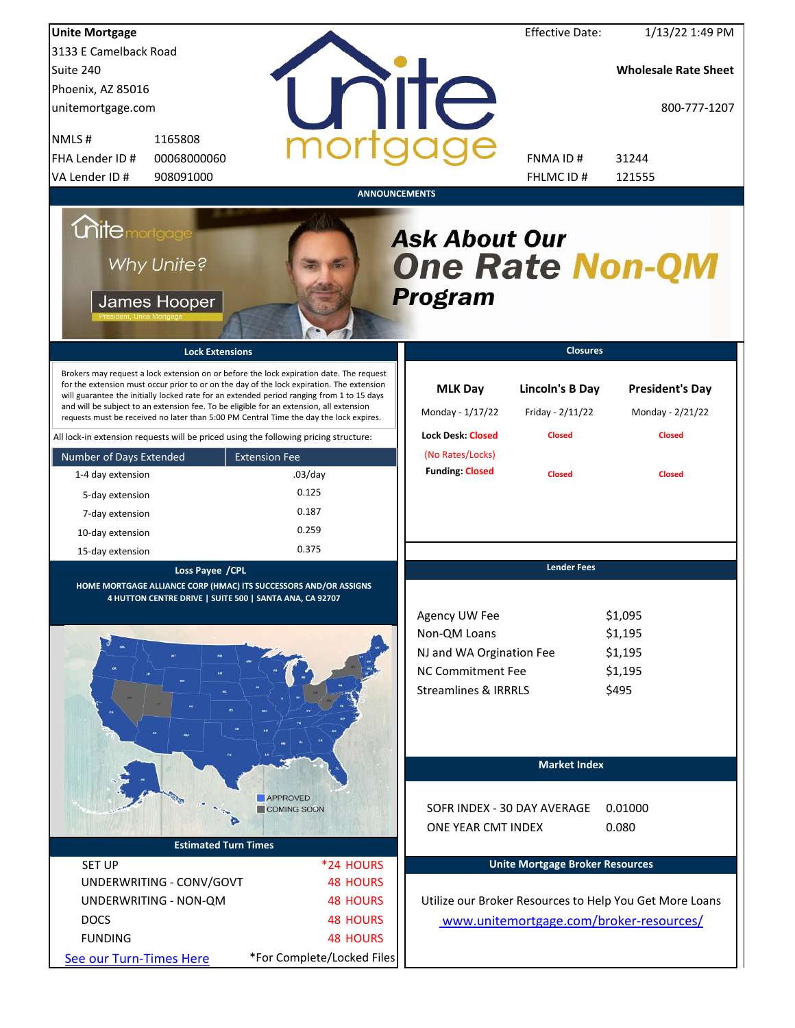| <b>Unite Mortgage</b>                                                                                                                                                                                                                                                                                                                                                                                                                                                  |                              |                                                                  | <b>Effective Date:</b>                     | 1/13/22 1:49 PM                                         |
|------------------------------------------------------------------------------------------------------------------------------------------------------------------------------------------------------------------------------------------------------------------------------------------------------------------------------------------------------------------------------------------------------------------------------------------------------------------------|------------------------------|------------------------------------------------------------------|--------------------------------------------|---------------------------------------------------------|
| 3133 E Camelback Road                                                                                                                                                                                                                                                                                                                                                                                                                                                  |                              |                                                                  |                                            |                                                         |
| Suite 240                                                                                                                                                                                                                                                                                                                                                                                                                                                              |                              |                                                                  |                                            | <b>Wholesale Rate Sheet</b>                             |
| Phoenix, AZ 85016                                                                                                                                                                                                                                                                                                                                                                                                                                                      |                              |                                                                  |                                            |                                                         |
| unitemortgage.com                                                                                                                                                                                                                                                                                                                                                                                                                                                      |                              | <b>TITE</b>                                                      |                                            | 800-777-1207                                            |
| NMLS#<br>1165808                                                                                                                                                                                                                                                                                                                                                                                                                                                       |                              |                                                                  |                                            |                                                         |
| FHA Lender ID #<br>00068000060                                                                                                                                                                                                                                                                                                                                                                                                                                         |                              |                                                                  | <b>FNMAID#</b>                             | 31244                                                   |
| VA Lender ID #<br>908091000                                                                                                                                                                                                                                                                                                                                                                                                                                            |                              |                                                                  | FHLMC ID #                                 | 121555                                                  |
|                                                                                                                                                                                                                                                                                                                                                                                                                                                                        |                              | <b>ANNOUNCEMENTS</b>                                             |                                            |                                                         |
| <b>Chite</b> mortgage<br>Why Unite?<br>James Hooper                                                                                                                                                                                                                                                                                                                                                                                                                    |                              | <b>Ask About Our</b><br><b>One Rate Non-QM</b><br><b>Program</b> |                                            |                                                         |
| <b>Lock Extensions</b>                                                                                                                                                                                                                                                                                                                                                                                                                                                 |                              |                                                                  | <b>Closures</b>                            |                                                         |
| Brokers may request a lock extension on or before the lock expiration date. The request<br>for the extension must occur prior to or on the day of the lock expiration. The extension<br>will guarantee the initially locked rate for an extended period ranging from 1 to 15 days<br>and will be subject to an extension fee. To be eligible for an extension, all extension<br>requests must be received no later than 5:00 PM Central Time the day the lock expires. |                              | <b>MLK Day</b><br>Monday - 1/17/22                               | <b>Lincoln's B Day</b><br>Friday - 2/11/22 | <b>President's Day</b><br>Monday - 2/21/22              |
| All lock-in extension requests will be priced using the following pricing structure:                                                                                                                                                                                                                                                                                                                                                                                   |                              | <b>Lock Desk: Closed</b>                                         | <b>Closed</b>                              | <b>Closed</b>                                           |
| Number of Days Extended                                                                                                                                                                                                                                                                                                                                                                                                                                                | <b>Extension Fee</b>         | (No Rates/Locks)                                                 |                                            |                                                         |
| 1-4 day extension                                                                                                                                                                                                                                                                                                                                                                                                                                                      | $.03$ /day                   | <b>Funding: Closed</b>                                           | <b>Closed</b>                              | <b>Closed</b>                                           |
| 5-day extension                                                                                                                                                                                                                                                                                                                                                                                                                                                        | 0.125                        |                                                                  |                                            |                                                         |
| 7-day extension                                                                                                                                                                                                                                                                                                                                                                                                                                                        | 0.187                        |                                                                  |                                            |                                                         |
| 10-day extension                                                                                                                                                                                                                                                                                                                                                                                                                                                       | 0.259                        |                                                                  |                                            |                                                         |
| 15-day extension                                                                                                                                                                                                                                                                                                                                                                                                                                                       | 0.375                        |                                                                  |                                            |                                                         |
| Loss Payee / CPL<br>HOME MORTGAGE ALLIANCE CORP (HMAC) ITS SUCCESSORS AND/OR ASSIGNS<br>4 HUTTON CENTRE DRIVE   SUITE 500   SANTA ANA, CA 92707                                                                                                                                                                                                                                                                                                                        |                              |                                                                  | <b>Lender Fees</b>                         |                                                         |
|                                                                                                                                                                                                                                                                                                                                                                                                                                                                        |                              | Agency UW Fee                                                    |                                            | \$1,095                                                 |
|                                                                                                                                                                                                                                                                                                                                                                                                                                                                        |                              | Non-QM Loans                                                     |                                            | \$1,195                                                 |
|                                                                                                                                                                                                                                                                                                                                                                                                                                                                        |                              | NJ and WA Orgination Fee                                         |                                            | \$1,195                                                 |
| 80                                                                                                                                                                                                                                                                                                                                                                                                                                                                     |                              | <b>NC Commitment Fee</b>                                         |                                            | \$1,195                                                 |
|                                                                                                                                                                                                                                                                                                                                                                                                                                                                        |                              | <b>Streamlines &amp; IRRRLS</b>                                  |                                            | \$495                                                   |
|                                                                                                                                                                                                                                                                                                                                                                                                                                                                        |                              |                                                                  |                                            |                                                         |
|                                                                                                                                                                                                                                                                                                                                                                                                                                                                        |                              |                                                                  | <b>Market Index</b>                        |                                                         |
|                                                                                                                                                                                                                                                                                                                                                                                                                                                                        | APPROVED<br>COMING SOON      |                                                                  | SOFR INDEX - 30 DAY AVERAGE                | 0.01000                                                 |
|                                                                                                                                                                                                                                                                                                                                                                                                                                                                        |                              |                                                                  |                                            |                                                         |
| <b>Estimated Turn Times</b>                                                                                                                                                                                                                                                                                                                                                                                                                                            |                              | ONE YEAR CMT INDEX                                               |                                            | 0.080                                                   |
|                                                                                                                                                                                                                                                                                                                                                                                                                                                                        |                              |                                                                  | <b>Unite Mortgage Broker Resources</b>     |                                                         |
| <b>SET UP</b><br>UNDERWRITING - CONV/GOVT                                                                                                                                                                                                                                                                                                                                                                                                                              | *24 HOURS<br><b>48 HOURS</b> |                                                                  |                                            |                                                         |
| UNDERWRITING - NON-QM                                                                                                                                                                                                                                                                                                                                                                                                                                                  | <b>48 HOURS</b>              |                                                                  |                                            | Utilize our Broker Resources to Help You Get More Loans |
|                                                                                                                                                                                                                                                                                                                                                                                                                                                                        | <b>48 HOURS</b>              |                                                                  |                                            |                                                         |
| <b>DOCS</b>                                                                                                                                                                                                                                                                                                                                                                                                                                                            |                              |                                                                  |                                            | www.unitemortgage.com/broker-resources/                 |
| <b>FUNDING</b>                                                                                                                                                                                                                                                                                                                                                                                                                                                         | <b>48 HOURS</b>              |                                                                  |                                            |                                                         |
| See our Turn-Times Here                                                                                                                                                                                                                                                                                                                                                                                                                                                | *For Complete/Locked Files   |                                                                  |                                            |                                                         |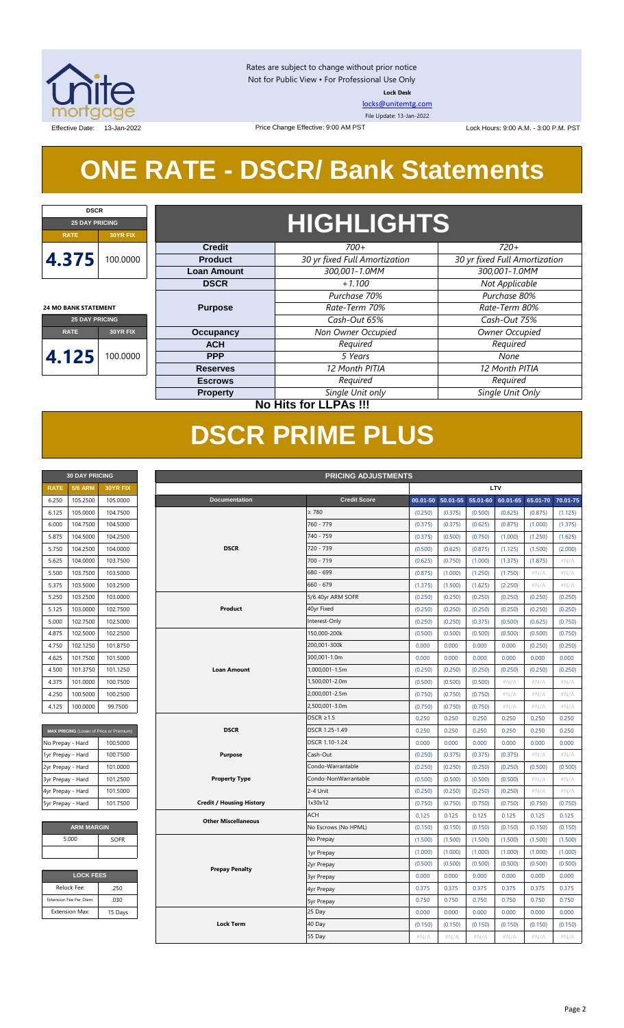

Rates are subject to change without prior notice Not for Public View • For Professional Use Only **Lock Desk**

[locks@unitemtg.com](mailto:locks@unitemtg.com) File Update: 13-Jan-2022

Effective Date: 13-Jan-2022 **Lock Hours: 9:00 A.M. - 3:00 P.M. PST** Lock Hours: 9:00 A.M. - 3:00 P.M. PST

## **ONE RATE - DSCR/ Bank Statements**

Price Change Effective: 9:00 AM PST

| <b>DSCR</b>                 |                 |  |  |  |  |  |
|-----------------------------|-----------------|--|--|--|--|--|
| <b>25 DAY PRICING</b>       |                 |  |  |  |  |  |
| <b>RATE</b>                 | <b>30YR FIX</b> |  |  |  |  |  |
| 4.375                       | 100,0000        |  |  |  |  |  |
| <b>24 MO BANK STATEMENT</b> |                 |  |  |  |  |  |
| <b>25 DAY PRICING</b>       |                 |  |  |  |  |  |

**RATE 30YR FIX**

**4.125** 100.0000

## **HIGHLIGHTS**

| <b>Credit</b>      | $700+$                        | $720+$                        |  |  |  |
|--------------------|-------------------------------|-------------------------------|--|--|--|
| <b>Product</b>     | 30 yr fixed Full Amortization | 30 yr fixed Full Amortization |  |  |  |
| <b>Loan Amount</b> | 300,001-1.0MM                 | 300,001-1.0MM                 |  |  |  |
| <b>DSCR</b>        | $+1.100$                      | Not Applicable                |  |  |  |
|                    | Purchase 70%                  | Purchase 80%                  |  |  |  |
| <b>Purpose</b>     | Rate-Term 70%                 | Rate-Term 80%                 |  |  |  |
|                    | Cash-Out 65%                  | Cash-Out 75%                  |  |  |  |
| Occupancy          | Non Owner Occupied            | Owner Occupied                |  |  |  |
| <b>ACH</b>         | Required                      | Required                      |  |  |  |
| <b>PPP</b>         | 5 Years                       | None                          |  |  |  |
| <b>Reserves</b>    | 12 Month PITIA                | 12 Month PITIA                |  |  |  |
| <b>Escrows</b>     | Required                      | Required                      |  |  |  |
| <b>Property</b>    | Single Unit only              | Single Unit Only              |  |  |  |

### **No Hits for LLPAs !!!**

## **DSCR PRIME PLUS**

| <b>30 DAY PRICING</b> |                |                 |  |  |  |  |  |
|-----------------------|----------------|-----------------|--|--|--|--|--|
| <b>RATE</b>           | <b>5/6 ARM</b> | <b>30YR FIX</b> |  |  |  |  |  |
| 6.250                 | 105.2500       | 105.0000        |  |  |  |  |  |
| 6.125                 | 105.0000       | 104.7500        |  |  |  |  |  |
| 6.000                 | 104.7500       | 104.5000        |  |  |  |  |  |
| 5.875                 | 104.5000       | 104.2500        |  |  |  |  |  |
| 5.750                 | 104.2500       | 104.0000        |  |  |  |  |  |
| 5.625                 | 104.0000       | 103.7500        |  |  |  |  |  |
| 5.500                 | 103.7500       | 103.5000        |  |  |  |  |  |
| 5.375                 | 103.5000       | 103.2500        |  |  |  |  |  |
| 5.250                 | 103.2500       | 103.0000        |  |  |  |  |  |
| 5.125                 | 103.0000       | 102.7500        |  |  |  |  |  |
| 5.000                 | 102.7500       | 102.5000        |  |  |  |  |  |
| 4.875                 | 102.5000       | 102.2500        |  |  |  |  |  |
| 4.750                 | 102.1250       | 101.8750        |  |  |  |  |  |
| 4.625                 | 101.7500       | 101.5000        |  |  |  |  |  |
| 4.500                 | 101.3750       | 101.1250        |  |  |  |  |  |
| 4.375                 | 101.0000       | 100.7500        |  |  |  |  |  |
| 4.250                 | 100.5000       | 100.2500        |  |  |  |  |  |
| 4.125                 | 100.0000       | 99.7500         |  |  |  |  |  |

| MAX PRICING (Lower of Price or Premium) |          |  |  |  |  |  |  |
|-----------------------------------------|----------|--|--|--|--|--|--|
| No Prepay - Hard                        | 100.5000 |  |  |  |  |  |  |
| 1yr Prepay - Hard                       | 100.7500 |  |  |  |  |  |  |
| 2yr Prepay - Hard                       | 101.0000 |  |  |  |  |  |  |
| 3yr Prepay - Hard                       | 101.2500 |  |  |  |  |  |  |
| 4yr Prepay - Hard                       | 101.5000 |  |  |  |  |  |  |
| 5yr Prepay - Hard                       | 101.7500 |  |  |  |  |  |  |

| <b>ARM MARGIN</b> |
|-------------------|
| <b>SOFR</b>       |
|                   |
|                   |

| <b>LOCK FEES</b> |  |  |  |  |  |  |
|------------------|--|--|--|--|--|--|
| .250             |  |  |  |  |  |  |
| .030             |  |  |  |  |  |  |
| 15 Days          |  |  |  |  |  |  |
|                  |  |  |  |  |  |  |

| LTV<br><b>5/6 ARM</b><br><b>RATE</b><br>30YR FIX<br>6.250<br>105.2500<br>105.0000<br><b>Documentation</b><br><b>Credit Score</b><br>00.01-50<br>50.01-55<br>55.01-60<br>60.01-65<br>65.01-70<br>70.01-75<br>$\geq 780$<br>105.0000<br>104.7500<br>(0.250)<br>(0.375)<br>(0.500)<br>(0.625)<br>(0.875)<br>6.125<br>(1.125)<br>760 - 779<br>104.7500<br>104.5000<br>(0.375)<br>(0.875)<br>(1.000)<br>6.000<br>(0.375)<br>(0.625)<br>(1.375)<br>740 - 759<br>5.875<br>104.5000<br>104.2500<br>(0.375)<br>(0.500)<br>(0.750)<br>(1.000)<br>(1.250)<br>(1.625)<br>104.2500<br>104.0000<br><b>DSCR</b><br>720 - 739<br>5.750<br>(0.500)<br>(0.625)<br>(0.875)<br>(1.125)<br>(1.500)<br>(2.000)<br>104.0000<br>103.7500<br>700 - 719<br>5.625<br>(0.625)<br>(0.750)<br>(1.000)<br>(1.375)<br>(1.875)<br>#N/A<br>680 - 699<br>103.5000<br>5.500<br>103.7500<br>(0.875)<br>(1.000)<br>(1.250)<br>(1.750)<br>$\#N/A$<br>$\#N/A$<br>660 - 679<br>$\#N/A$<br>5.375<br>103.5000<br>103.2500<br>(1.375)<br>(1.500)<br>(1.625)<br>(2.250)<br>$\#N/A$<br>5/6 40yr ARM SOFR<br>5.250<br>103.2500<br>103.0000<br>(0.250)<br>(0.250)<br>(0.250)<br>(0.250)<br>(0.250)<br>(0.250)<br>Product<br>40yr Fixed<br>103.0000<br>102.7500<br>(0.250)<br>(0.250)<br>(0.250)<br>(0.250)<br>(0.250)<br>(0.250)<br>5.125<br>5.000<br>102.7500<br>102.5000<br>Interest-Only<br>(0.250)<br>(0.250)<br>(0.375)<br>(0.500)<br>(0.625)<br>(0.750)<br>150,000-200k<br>4.875<br>102.5000<br>102.2500<br>(0.500)<br>(0.500)<br>(0.500)<br>(0.500)<br>(0.500)<br>(0.750)<br>200,001-300k<br>4.750<br>102.1250<br>101.8750<br>0.000<br>0.000<br>0.000<br>0.000<br>(0.250)<br>(0.250)<br>4.625<br>101.7500<br>101.5000<br>300,001-1.0m<br>0.000<br>0.000<br>0.000<br>0.000<br>0.000<br>0.000<br>4.500<br>101.3750<br>101.1250<br><b>Loan Amount</b><br>1,000,001-1.5m<br>(0.250)<br>(0.250)<br>(0.250)<br>(0.250)<br>(0.250)<br>(0.250)<br>1,500,001-2.0m<br>4.375<br>101.0000<br>100.7500<br>(0.500)<br>(0.500)<br>(0.500)<br>$\#N/A$<br>$\#N/A$<br>#N/A<br>100.5000<br>100.2500<br>2,000,001-2.5m<br>4.250<br>(0.750)<br>(0.750)<br>(0.750)<br>#N/A<br>$\#N/A$<br>#N/A<br>4.125<br>100.0000<br>99.7500<br>2,500,001-3.0m<br>(0.750)<br>(0.750)<br>(0.750)<br>$\#N/A$<br>$\#N/A$<br>$\#N/A$<br>DSCR $\geq$ 1.5<br>0.250<br>0.250<br>0.250<br>0.250<br>0.250<br>0.250<br><b>DSCR</b><br>DSCR 1.25-1.49<br>0.250<br>0.250<br>0.250<br>0.250<br>0.250<br>0.250<br>MAX PRICING (Lower of Price or Premium)<br>100.5000<br>DSCR 1.10-1.24<br>0.000<br>0.000<br>0.000<br>0.000<br>0.000<br>0.000<br>No Prepay - Hard<br>100.7500<br>Cash-Out<br>(0.250)<br>$\#N/A$<br>$\#N/A$<br>1yr Prepay - Hard<br>Purpose<br>(0.375)<br>(0.375)<br>(0.375)<br>101.0000<br>Condo-Warrantable<br>(0.250)<br>(0.250)<br>2yr Prepay - Hard<br>(0.250)<br>(0.250)<br>(0.500)<br>(0.500)<br>Condo-NonWarrantable<br>3yr Prepay - Hard<br>101.2500<br><b>Property Type</b><br>(0.500)<br>(0.500)<br>(0.500)<br>(0.500)<br>$\#N/A$<br>#N/A<br>2-4 Unit<br>4yr Prepay - Hard<br>101.5000<br>(0.250)<br>(0.250)<br>(0.250)<br>(0.250)<br>$\#N/A$<br>#N/A<br><b>Credit / Housing History</b><br>1x30x12<br>5yr Prepay - Hard<br>101.7500<br>(0.750)<br>(0.750)<br>(0.750)<br>(0.750)<br>(0.750)<br>(0.750)<br><b>ACH</b><br>0.125<br>0.125<br>0.125<br>0.125<br>0.125<br>0.125<br><b>Other Miscellaneous</b><br><b>ARM MARGIN</b><br>No Escrows (No HPML)<br>(0.150)<br>(0.150)<br>(0.150)<br>(0.150)<br>(0.150)<br>(0.150)<br>5.000<br>No Prepay<br>SOFR<br>(1.500)<br>(1.500)<br>(1.500)<br>(1.500)<br>(1.500)<br>(1.500)<br>(1.000)<br>(1.000)<br>(1.000)<br>(1.000)<br>(1.000)<br>(1.000)<br>1yr Prepay<br>(0.500)<br>(0.500)<br>(0.500)<br>(0.500)<br>(0.500)<br>(0.500)<br>2yr Prepay<br><b>Prepay Penalty</b><br><b>LOCK FEES</b><br>0.000<br>0.000<br>0.000<br>0.000<br>0.000<br>0.000<br><b>3yr Prepay</b><br>Relock Fee:<br>.250<br>0.375<br>0.375<br>0.375<br>0.375<br>0.375<br>0.375<br>4yr Prepay<br>Extension Fee Per Diem:<br>.030<br>0.750<br>0.750<br>0.750<br>0.750<br>0.750<br>0.750<br><b>5yr Prepay</b><br>25 Day<br><b>Extension Max:</b><br>0.000<br>0.000<br>0.000<br>0.000<br>0.000<br>0.000<br>15 Days<br><b>Lock Term</b><br>40 Day<br>(0.150)<br>(0.150)<br>(0.150)<br>(0.150)<br>(0.150)<br>(0.150)<br>55 Day<br>#N/A<br>#N/A<br>#N/A<br>#N/A<br>#N/A<br>#N/A | <b>PRICING ADJUSTMENTS</b><br><b>30 DAY PRICING</b> |  |  |  |  |  |  |  |  |  |  |
|----------------------------------------------------------------------------------------------------------------------------------------------------------------------------------------------------------------------------------------------------------------------------------------------------------------------------------------------------------------------------------------------------------------------------------------------------------------------------------------------------------------------------------------------------------------------------------------------------------------------------------------------------------------------------------------------------------------------------------------------------------------------------------------------------------------------------------------------------------------------------------------------------------------------------------------------------------------------------------------------------------------------------------------------------------------------------------------------------------------------------------------------------------------------------------------------------------------------------------------------------------------------------------------------------------------------------------------------------------------------------------------------------------------------------------------------------------------------------------------------------------------------------------------------------------------------------------------------------------------------------------------------------------------------------------------------------------------------------------------------------------------------------------------------------------------------------------------------------------------------------------------------------------------------------------------------------------------------------------------------------------------------------------------------------------------------------------------------------------------------------------------------------------------------------------------------------------------------------------------------------------------------------------------------------------------------------------------------------------------------------------------------------------------------------------------------------------------------------------------------------------------------------------------------------------------------------------------------------------------------------------------------------------------------------------------------------------------------------------------------------------------------------------------------------------------------------------------------------------------------------------------------------------------------------------------------------------------------------------------------------------------------------------------------------------------------------------------------------------------------------------------------------------------------------------------------------------------------------------------------------------------------------------------------------------------------------------------------------------------------------------------------------------------------------------------------------------------------------------------------------------------------------------------------------------------------------------------------------------------------------------------------------------------------------------------------------------------------------------------------------------------------------------------------------------------------------------------------------------------------------------------------------------------------------------------------------------------------------------------------------------------------------------------------------------------------------------------------------------------------------------------------------------------------------------------------------------------------------------------------------------------------------------------------------------------------|-----------------------------------------------------|--|--|--|--|--|--|--|--|--|--|
|                                                                                                                                                                                                                                                                                                                                                                                                                                                                                                                                                                                                                                                                                                                                                                                                                                                                                                                                                                                                                                                                                                                                                                                                                                                                                                                                                                                                                                                                                                                                                                                                                                                                                                                                                                                                                                                                                                                                                                                                                                                                                                                                                                                                                                                                                                                                                                                                                                                                                                                                                                                                                                                                                                                                                                                                                                                                                                                                                                                                                                                                                                                                                                                                                                                                                                                                                                                                                                                                                                                                                                                                                                                                                                                                                                                                                                                                                                                                                                                                                                                                                                                                                                                                                                                                                                                      |                                                     |  |  |  |  |  |  |  |  |  |  |
|                                                                                                                                                                                                                                                                                                                                                                                                                                                                                                                                                                                                                                                                                                                                                                                                                                                                                                                                                                                                                                                                                                                                                                                                                                                                                                                                                                                                                                                                                                                                                                                                                                                                                                                                                                                                                                                                                                                                                                                                                                                                                                                                                                                                                                                                                                                                                                                                                                                                                                                                                                                                                                                                                                                                                                                                                                                                                                                                                                                                                                                                                                                                                                                                                                                                                                                                                                                                                                                                                                                                                                                                                                                                                                                                                                                                                                                                                                                                                                                                                                                                                                                                                                                                                                                                                                                      |                                                     |  |  |  |  |  |  |  |  |  |  |
|                                                                                                                                                                                                                                                                                                                                                                                                                                                                                                                                                                                                                                                                                                                                                                                                                                                                                                                                                                                                                                                                                                                                                                                                                                                                                                                                                                                                                                                                                                                                                                                                                                                                                                                                                                                                                                                                                                                                                                                                                                                                                                                                                                                                                                                                                                                                                                                                                                                                                                                                                                                                                                                                                                                                                                                                                                                                                                                                                                                                                                                                                                                                                                                                                                                                                                                                                                                                                                                                                                                                                                                                                                                                                                                                                                                                                                                                                                                                                                                                                                                                                                                                                                                                                                                                                                                      |                                                     |  |  |  |  |  |  |  |  |  |  |
|                                                                                                                                                                                                                                                                                                                                                                                                                                                                                                                                                                                                                                                                                                                                                                                                                                                                                                                                                                                                                                                                                                                                                                                                                                                                                                                                                                                                                                                                                                                                                                                                                                                                                                                                                                                                                                                                                                                                                                                                                                                                                                                                                                                                                                                                                                                                                                                                                                                                                                                                                                                                                                                                                                                                                                                                                                                                                                                                                                                                                                                                                                                                                                                                                                                                                                                                                                                                                                                                                                                                                                                                                                                                                                                                                                                                                                                                                                                                                                                                                                                                                                                                                                                                                                                                                                                      |                                                     |  |  |  |  |  |  |  |  |  |  |
|                                                                                                                                                                                                                                                                                                                                                                                                                                                                                                                                                                                                                                                                                                                                                                                                                                                                                                                                                                                                                                                                                                                                                                                                                                                                                                                                                                                                                                                                                                                                                                                                                                                                                                                                                                                                                                                                                                                                                                                                                                                                                                                                                                                                                                                                                                                                                                                                                                                                                                                                                                                                                                                                                                                                                                                                                                                                                                                                                                                                                                                                                                                                                                                                                                                                                                                                                                                                                                                                                                                                                                                                                                                                                                                                                                                                                                                                                                                                                                                                                                                                                                                                                                                                                                                                                                                      |                                                     |  |  |  |  |  |  |  |  |  |  |
|                                                                                                                                                                                                                                                                                                                                                                                                                                                                                                                                                                                                                                                                                                                                                                                                                                                                                                                                                                                                                                                                                                                                                                                                                                                                                                                                                                                                                                                                                                                                                                                                                                                                                                                                                                                                                                                                                                                                                                                                                                                                                                                                                                                                                                                                                                                                                                                                                                                                                                                                                                                                                                                                                                                                                                                                                                                                                                                                                                                                                                                                                                                                                                                                                                                                                                                                                                                                                                                                                                                                                                                                                                                                                                                                                                                                                                                                                                                                                                                                                                                                                                                                                                                                                                                                                                                      |                                                     |  |  |  |  |  |  |  |  |  |  |
|                                                                                                                                                                                                                                                                                                                                                                                                                                                                                                                                                                                                                                                                                                                                                                                                                                                                                                                                                                                                                                                                                                                                                                                                                                                                                                                                                                                                                                                                                                                                                                                                                                                                                                                                                                                                                                                                                                                                                                                                                                                                                                                                                                                                                                                                                                                                                                                                                                                                                                                                                                                                                                                                                                                                                                                                                                                                                                                                                                                                                                                                                                                                                                                                                                                                                                                                                                                                                                                                                                                                                                                                                                                                                                                                                                                                                                                                                                                                                                                                                                                                                                                                                                                                                                                                                                                      |                                                     |  |  |  |  |  |  |  |  |  |  |
|                                                                                                                                                                                                                                                                                                                                                                                                                                                                                                                                                                                                                                                                                                                                                                                                                                                                                                                                                                                                                                                                                                                                                                                                                                                                                                                                                                                                                                                                                                                                                                                                                                                                                                                                                                                                                                                                                                                                                                                                                                                                                                                                                                                                                                                                                                                                                                                                                                                                                                                                                                                                                                                                                                                                                                                                                                                                                                                                                                                                                                                                                                                                                                                                                                                                                                                                                                                                                                                                                                                                                                                                                                                                                                                                                                                                                                                                                                                                                                                                                                                                                                                                                                                                                                                                                                                      |                                                     |  |  |  |  |  |  |  |  |  |  |
|                                                                                                                                                                                                                                                                                                                                                                                                                                                                                                                                                                                                                                                                                                                                                                                                                                                                                                                                                                                                                                                                                                                                                                                                                                                                                                                                                                                                                                                                                                                                                                                                                                                                                                                                                                                                                                                                                                                                                                                                                                                                                                                                                                                                                                                                                                                                                                                                                                                                                                                                                                                                                                                                                                                                                                                                                                                                                                                                                                                                                                                                                                                                                                                                                                                                                                                                                                                                                                                                                                                                                                                                                                                                                                                                                                                                                                                                                                                                                                                                                                                                                                                                                                                                                                                                                                                      |                                                     |  |  |  |  |  |  |  |  |  |  |
|                                                                                                                                                                                                                                                                                                                                                                                                                                                                                                                                                                                                                                                                                                                                                                                                                                                                                                                                                                                                                                                                                                                                                                                                                                                                                                                                                                                                                                                                                                                                                                                                                                                                                                                                                                                                                                                                                                                                                                                                                                                                                                                                                                                                                                                                                                                                                                                                                                                                                                                                                                                                                                                                                                                                                                                                                                                                                                                                                                                                                                                                                                                                                                                                                                                                                                                                                                                                                                                                                                                                                                                                                                                                                                                                                                                                                                                                                                                                                                                                                                                                                                                                                                                                                                                                                                                      |                                                     |  |  |  |  |  |  |  |  |  |  |
|                                                                                                                                                                                                                                                                                                                                                                                                                                                                                                                                                                                                                                                                                                                                                                                                                                                                                                                                                                                                                                                                                                                                                                                                                                                                                                                                                                                                                                                                                                                                                                                                                                                                                                                                                                                                                                                                                                                                                                                                                                                                                                                                                                                                                                                                                                                                                                                                                                                                                                                                                                                                                                                                                                                                                                                                                                                                                                                                                                                                                                                                                                                                                                                                                                                                                                                                                                                                                                                                                                                                                                                                                                                                                                                                                                                                                                                                                                                                                                                                                                                                                                                                                                                                                                                                                                                      |                                                     |  |  |  |  |  |  |  |  |  |  |
|                                                                                                                                                                                                                                                                                                                                                                                                                                                                                                                                                                                                                                                                                                                                                                                                                                                                                                                                                                                                                                                                                                                                                                                                                                                                                                                                                                                                                                                                                                                                                                                                                                                                                                                                                                                                                                                                                                                                                                                                                                                                                                                                                                                                                                                                                                                                                                                                                                                                                                                                                                                                                                                                                                                                                                                                                                                                                                                                                                                                                                                                                                                                                                                                                                                                                                                                                                                                                                                                                                                                                                                                                                                                                                                                                                                                                                                                                                                                                                                                                                                                                                                                                                                                                                                                                                                      |                                                     |  |  |  |  |  |  |  |  |  |  |
|                                                                                                                                                                                                                                                                                                                                                                                                                                                                                                                                                                                                                                                                                                                                                                                                                                                                                                                                                                                                                                                                                                                                                                                                                                                                                                                                                                                                                                                                                                                                                                                                                                                                                                                                                                                                                                                                                                                                                                                                                                                                                                                                                                                                                                                                                                                                                                                                                                                                                                                                                                                                                                                                                                                                                                                                                                                                                                                                                                                                                                                                                                                                                                                                                                                                                                                                                                                                                                                                                                                                                                                                                                                                                                                                                                                                                                                                                                                                                                                                                                                                                                                                                                                                                                                                                                                      |                                                     |  |  |  |  |  |  |  |  |  |  |
|                                                                                                                                                                                                                                                                                                                                                                                                                                                                                                                                                                                                                                                                                                                                                                                                                                                                                                                                                                                                                                                                                                                                                                                                                                                                                                                                                                                                                                                                                                                                                                                                                                                                                                                                                                                                                                                                                                                                                                                                                                                                                                                                                                                                                                                                                                                                                                                                                                                                                                                                                                                                                                                                                                                                                                                                                                                                                                                                                                                                                                                                                                                                                                                                                                                                                                                                                                                                                                                                                                                                                                                                                                                                                                                                                                                                                                                                                                                                                                                                                                                                                                                                                                                                                                                                                                                      |                                                     |  |  |  |  |  |  |  |  |  |  |
|                                                                                                                                                                                                                                                                                                                                                                                                                                                                                                                                                                                                                                                                                                                                                                                                                                                                                                                                                                                                                                                                                                                                                                                                                                                                                                                                                                                                                                                                                                                                                                                                                                                                                                                                                                                                                                                                                                                                                                                                                                                                                                                                                                                                                                                                                                                                                                                                                                                                                                                                                                                                                                                                                                                                                                                                                                                                                                                                                                                                                                                                                                                                                                                                                                                                                                                                                                                                                                                                                                                                                                                                                                                                                                                                                                                                                                                                                                                                                                                                                                                                                                                                                                                                                                                                                                                      |                                                     |  |  |  |  |  |  |  |  |  |  |
|                                                                                                                                                                                                                                                                                                                                                                                                                                                                                                                                                                                                                                                                                                                                                                                                                                                                                                                                                                                                                                                                                                                                                                                                                                                                                                                                                                                                                                                                                                                                                                                                                                                                                                                                                                                                                                                                                                                                                                                                                                                                                                                                                                                                                                                                                                                                                                                                                                                                                                                                                                                                                                                                                                                                                                                                                                                                                                                                                                                                                                                                                                                                                                                                                                                                                                                                                                                                                                                                                                                                                                                                                                                                                                                                                                                                                                                                                                                                                                                                                                                                                                                                                                                                                                                                                                                      |                                                     |  |  |  |  |  |  |  |  |  |  |
|                                                                                                                                                                                                                                                                                                                                                                                                                                                                                                                                                                                                                                                                                                                                                                                                                                                                                                                                                                                                                                                                                                                                                                                                                                                                                                                                                                                                                                                                                                                                                                                                                                                                                                                                                                                                                                                                                                                                                                                                                                                                                                                                                                                                                                                                                                                                                                                                                                                                                                                                                                                                                                                                                                                                                                                                                                                                                                                                                                                                                                                                                                                                                                                                                                                                                                                                                                                                                                                                                                                                                                                                                                                                                                                                                                                                                                                                                                                                                                                                                                                                                                                                                                                                                                                                                                                      |                                                     |  |  |  |  |  |  |  |  |  |  |
|                                                                                                                                                                                                                                                                                                                                                                                                                                                                                                                                                                                                                                                                                                                                                                                                                                                                                                                                                                                                                                                                                                                                                                                                                                                                                                                                                                                                                                                                                                                                                                                                                                                                                                                                                                                                                                                                                                                                                                                                                                                                                                                                                                                                                                                                                                                                                                                                                                                                                                                                                                                                                                                                                                                                                                                                                                                                                                                                                                                                                                                                                                                                                                                                                                                                                                                                                                                                                                                                                                                                                                                                                                                                                                                                                                                                                                                                                                                                                                                                                                                                                                                                                                                                                                                                                                                      |                                                     |  |  |  |  |  |  |  |  |  |  |
|                                                                                                                                                                                                                                                                                                                                                                                                                                                                                                                                                                                                                                                                                                                                                                                                                                                                                                                                                                                                                                                                                                                                                                                                                                                                                                                                                                                                                                                                                                                                                                                                                                                                                                                                                                                                                                                                                                                                                                                                                                                                                                                                                                                                                                                                                                                                                                                                                                                                                                                                                                                                                                                                                                                                                                                                                                                                                                                                                                                                                                                                                                                                                                                                                                                                                                                                                                                                                                                                                                                                                                                                                                                                                                                                                                                                                                                                                                                                                                                                                                                                                                                                                                                                                                                                                                                      |                                                     |  |  |  |  |  |  |  |  |  |  |
|                                                                                                                                                                                                                                                                                                                                                                                                                                                                                                                                                                                                                                                                                                                                                                                                                                                                                                                                                                                                                                                                                                                                                                                                                                                                                                                                                                                                                                                                                                                                                                                                                                                                                                                                                                                                                                                                                                                                                                                                                                                                                                                                                                                                                                                                                                                                                                                                                                                                                                                                                                                                                                                                                                                                                                                                                                                                                                                                                                                                                                                                                                                                                                                                                                                                                                                                                                                                                                                                                                                                                                                                                                                                                                                                                                                                                                                                                                                                                                                                                                                                                                                                                                                                                                                                                                                      |                                                     |  |  |  |  |  |  |  |  |  |  |
|                                                                                                                                                                                                                                                                                                                                                                                                                                                                                                                                                                                                                                                                                                                                                                                                                                                                                                                                                                                                                                                                                                                                                                                                                                                                                                                                                                                                                                                                                                                                                                                                                                                                                                                                                                                                                                                                                                                                                                                                                                                                                                                                                                                                                                                                                                                                                                                                                                                                                                                                                                                                                                                                                                                                                                                                                                                                                                                                                                                                                                                                                                                                                                                                                                                                                                                                                                                                                                                                                                                                                                                                                                                                                                                                                                                                                                                                                                                                                                                                                                                                                                                                                                                                                                                                                                                      |                                                     |  |  |  |  |  |  |  |  |  |  |
|                                                                                                                                                                                                                                                                                                                                                                                                                                                                                                                                                                                                                                                                                                                                                                                                                                                                                                                                                                                                                                                                                                                                                                                                                                                                                                                                                                                                                                                                                                                                                                                                                                                                                                                                                                                                                                                                                                                                                                                                                                                                                                                                                                                                                                                                                                                                                                                                                                                                                                                                                                                                                                                                                                                                                                                                                                                                                                                                                                                                                                                                                                                                                                                                                                                                                                                                                                                                                                                                                                                                                                                                                                                                                                                                                                                                                                                                                                                                                                                                                                                                                                                                                                                                                                                                                                                      |                                                     |  |  |  |  |  |  |  |  |  |  |
|                                                                                                                                                                                                                                                                                                                                                                                                                                                                                                                                                                                                                                                                                                                                                                                                                                                                                                                                                                                                                                                                                                                                                                                                                                                                                                                                                                                                                                                                                                                                                                                                                                                                                                                                                                                                                                                                                                                                                                                                                                                                                                                                                                                                                                                                                                                                                                                                                                                                                                                                                                                                                                                                                                                                                                                                                                                                                                                                                                                                                                                                                                                                                                                                                                                                                                                                                                                                                                                                                                                                                                                                                                                                                                                                                                                                                                                                                                                                                                                                                                                                                                                                                                                                                                                                                                                      |                                                     |  |  |  |  |  |  |  |  |  |  |
|                                                                                                                                                                                                                                                                                                                                                                                                                                                                                                                                                                                                                                                                                                                                                                                                                                                                                                                                                                                                                                                                                                                                                                                                                                                                                                                                                                                                                                                                                                                                                                                                                                                                                                                                                                                                                                                                                                                                                                                                                                                                                                                                                                                                                                                                                                                                                                                                                                                                                                                                                                                                                                                                                                                                                                                                                                                                                                                                                                                                                                                                                                                                                                                                                                                                                                                                                                                                                                                                                                                                                                                                                                                                                                                                                                                                                                                                                                                                                                                                                                                                                                                                                                                                                                                                                                                      |                                                     |  |  |  |  |  |  |  |  |  |  |
|                                                                                                                                                                                                                                                                                                                                                                                                                                                                                                                                                                                                                                                                                                                                                                                                                                                                                                                                                                                                                                                                                                                                                                                                                                                                                                                                                                                                                                                                                                                                                                                                                                                                                                                                                                                                                                                                                                                                                                                                                                                                                                                                                                                                                                                                                                                                                                                                                                                                                                                                                                                                                                                                                                                                                                                                                                                                                                                                                                                                                                                                                                                                                                                                                                                                                                                                                                                                                                                                                                                                                                                                                                                                                                                                                                                                                                                                                                                                                                                                                                                                                                                                                                                                                                                                                                                      |                                                     |  |  |  |  |  |  |  |  |  |  |
|                                                                                                                                                                                                                                                                                                                                                                                                                                                                                                                                                                                                                                                                                                                                                                                                                                                                                                                                                                                                                                                                                                                                                                                                                                                                                                                                                                                                                                                                                                                                                                                                                                                                                                                                                                                                                                                                                                                                                                                                                                                                                                                                                                                                                                                                                                                                                                                                                                                                                                                                                                                                                                                                                                                                                                                                                                                                                                                                                                                                                                                                                                                                                                                                                                                                                                                                                                                                                                                                                                                                                                                                                                                                                                                                                                                                                                                                                                                                                                                                                                                                                                                                                                                                                                                                                                                      |                                                     |  |  |  |  |  |  |  |  |  |  |
|                                                                                                                                                                                                                                                                                                                                                                                                                                                                                                                                                                                                                                                                                                                                                                                                                                                                                                                                                                                                                                                                                                                                                                                                                                                                                                                                                                                                                                                                                                                                                                                                                                                                                                                                                                                                                                                                                                                                                                                                                                                                                                                                                                                                                                                                                                                                                                                                                                                                                                                                                                                                                                                                                                                                                                                                                                                                                                                                                                                                                                                                                                                                                                                                                                                                                                                                                                                                                                                                                                                                                                                                                                                                                                                                                                                                                                                                                                                                                                                                                                                                                                                                                                                                                                                                                                                      |                                                     |  |  |  |  |  |  |  |  |  |  |
|                                                                                                                                                                                                                                                                                                                                                                                                                                                                                                                                                                                                                                                                                                                                                                                                                                                                                                                                                                                                                                                                                                                                                                                                                                                                                                                                                                                                                                                                                                                                                                                                                                                                                                                                                                                                                                                                                                                                                                                                                                                                                                                                                                                                                                                                                                                                                                                                                                                                                                                                                                                                                                                                                                                                                                                                                                                                                                                                                                                                                                                                                                                                                                                                                                                                                                                                                                                                                                                                                                                                                                                                                                                                                                                                                                                                                                                                                                                                                                                                                                                                                                                                                                                                                                                                                                                      |                                                     |  |  |  |  |  |  |  |  |  |  |
|                                                                                                                                                                                                                                                                                                                                                                                                                                                                                                                                                                                                                                                                                                                                                                                                                                                                                                                                                                                                                                                                                                                                                                                                                                                                                                                                                                                                                                                                                                                                                                                                                                                                                                                                                                                                                                                                                                                                                                                                                                                                                                                                                                                                                                                                                                                                                                                                                                                                                                                                                                                                                                                                                                                                                                                                                                                                                                                                                                                                                                                                                                                                                                                                                                                                                                                                                                                                                                                                                                                                                                                                                                                                                                                                                                                                                                                                                                                                                                                                                                                                                                                                                                                                                                                                                                                      |                                                     |  |  |  |  |  |  |  |  |  |  |
|                                                                                                                                                                                                                                                                                                                                                                                                                                                                                                                                                                                                                                                                                                                                                                                                                                                                                                                                                                                                                                                                                                                                                                                                                                                                                                                                                                                                                                                                                                                                                                                                                                                                                                                                                                                                                                                                                                                                                                                                                                                                                                                                                                                                                                                                                                                                                                                                                                                                                                                                                                                                                                                                                                                                                                                                                                                                                                                                                                                                                                                                                                                                                                                                                                                                                                                                                                                                                                                                                                                                                                                                                                                                                                                                                                                                                                                                                                                                                                                                                                                                                                                                                                                                                                                                                                                      |                                                     |  |  |  |  |  |  |  |  |  |  |
|                                                                                                                                                                                                                                                                                                                                                                                                                                                                                                                                                                                                                                                                                                                                                                                                                                                                                                                                                                                                                                                                                                                                                                                                                                                                                                                                                                                                                                                                                                                                                                                                                                                                                                                                                                                                                                                                                                                                                                                                                                                                                                                                                                                                                                                                                                                                                                                                                                                                                                                                                                                                                                                                                                                                                                                                                                                                                                                                                                                                                                                                                                                                                                                                                                                                                                                                                                                                                                                                                                                                                                                                                                                                                                                                                                                                                                                                                                                                                                                                                                                                                                                                                                                                                                                                                                                      |                                                     |  |  |  |  |  |  |  |  |  |  |
|                                                                                                                                                                                                                                                                                                                                                                                                                                                                                                                                                                                                                                                                                                                                                                                                                                                                                                                                                                                                                                                                                                                                                                                                                                                                                                                                                                                                                                                                                                                                                                                                                                                                                                                                                                                                                                                                                                                                                                                                                                                                                                                                                                                                                                                                                                                                                                                                                                                                                                                                                                                                                                                                                                                                                                                                                                                                                                                                                                                                                                                                                                                                                                                                                                                                                                                                                                                                                                                                                                                                                                                                                                                                                                                                                                                                                                                                                                                                                                                                                                                                                                                                                                                                                                                                                                                      |                                                     |  |  |  |  |  |  |  |  |  |  |
|                                                                                                                                                                                                                                                                                                                                                                                                                                                                                                                                                                                                                                                                                                                                                                                                                                                                                                                                                                                                                                                                                                                                                                                                                                                                                                                                                                                                                                                                                                                                                                                                                                                                                                                                                                                                                                                                                                                                                                                                                                                                                                                                                                                                                                                                                                                                                                                                                                                                                                                                                                                                                                                                                                                                                                                                                                                                                                                                                                                                                                                                                                                                                                                                                                                                                                                                                                                                                                                                                                                                                                                                                                                                                                                                                                                                                                                                                                                                                                                                                                                                                                                                                                                                                                                                                                                      |                                                     |  |  |  |  |  |  |  |  |  |  |
|                                                                                                                                                                                                                                                                                                                                                                                                                                                                                                                                                                                                                                                                                                                                                                                                                                                                                                                                                                                                                                                                                                                                                                                                                                                                                                                                                                                                                                                                                                                                                                                                                                                                                                                                                                                                                                                                                                                                                                                                                                                                                                                                                                                                                                                                                                                                                                                                                                                                                                                                                                                                                                                                                                                                                                                                                                                                                                                                                                                                                                                                                                                                                                                                                                                                                                                                                                                                                                                                                                                                                                                                                                                                                                                                                                                                                                                                                                                                                                                                                                                                                                                                                                                                                                                                                                                      |                                                     |  |  |  |  |  |  |  |  |  |  |
|                                                                                                                                                                                                                                                                                                                                                                                                                                                                                                                                                                                                                                                                                                                                                                                                                                                                                                                                                                                                                                                                                                                                                                                                                                                                                                                                                                                                                                                                                                                                                                                                                                                                                                                                                                                                                                                                                                                                                                                                                                                                                                                                                                                                                                                                                                                                                                                                                                                                                                                                                                                                                                                                                                                                                                                                                                                                                                                                                                                                                                                                                                                                                                                                                                                                                                                                                                                                                                                                                                                                                                                                                                                                                                                                                                                                                                                                                                                                                                                                                                                                                                                                                                                                                                                                                                                      |                                                     |  |  |  |  |  |  |  |  |  |  |
|                                                                                                                                                                                                                                                                                                                                                                                                                                                                                                                                                                                                                                                                                                                                                                                                                                                                                                                                                                                                                                                                                                                                                                                                                                                                                                                                                                                                                                                                                                                                                                                                                                                                                                                                                                                                                                                                                                                                                                                                                                                                                                                                                                                                                                                                                                                                                                                                                                                                                                                                                                                                                                                                                                                                                                                                                                                                                                                                                                                                                                                                                                                                                                                                                                                                                                                                                                                                                                                                                                                                                                                                                                                                                                                                                                                                                                                                                                                                                                                                                                                                                                                                                                                                                                                                                                                      |                                                     |  |  |  |  |  |  |  |  |  |  |
|                                                                                                                                                                                                                                                                                                                                                                                                                                                                                                                                                                                                                                                                                                                                                                                                                                                                                                                                                                                                                                                                                                                                                                                                                                                                                                                                                                                                                                                                                                                                                                                                                                                                                                                                                                                                                                                                                                                                                                                                                                                                                                                                                                                                                                                                                                                                                                                                                                                                                                                                                                                                                                                                                                                                                                                                                                                                                                                                                                                                                                                                                                                                                                                                                                                                                                                                                                                                                                                                                                                                                                                                                                                                                                                                                                                                                                                                                                                                                                                                                                                                                                                                                                                                                                                                                                                      |                                                     |  |  |  |  |  |  |  |  |  |  |
|                                                                                                                                                                                                                                                                                                                                                                                                                                                                                                                                                                                                                                                                                                                                                                                                                                                                                                                                                                                                                                                                                                                                                                                                                                                                                                                                                                                                                                                                                                                                                                                                                                                                                                                                                                                                                                                                                                                                                                                                                                                                                                                                                                                                                                                                                                                                                                                                                                                                                                                                                                                                                                                                                                                                                                                                                                                                                                                                                                                                                                                                                                                                                                                                                                                                                                                                                                                                                                                                                                                                                                                                                                                                                                                                                                                                                                                                                                                                                                                                                                                                                                                                                                                                                                                                                                                      |                                                     |  |  |  |  |  |  |  |  |  |  |

#### Page 2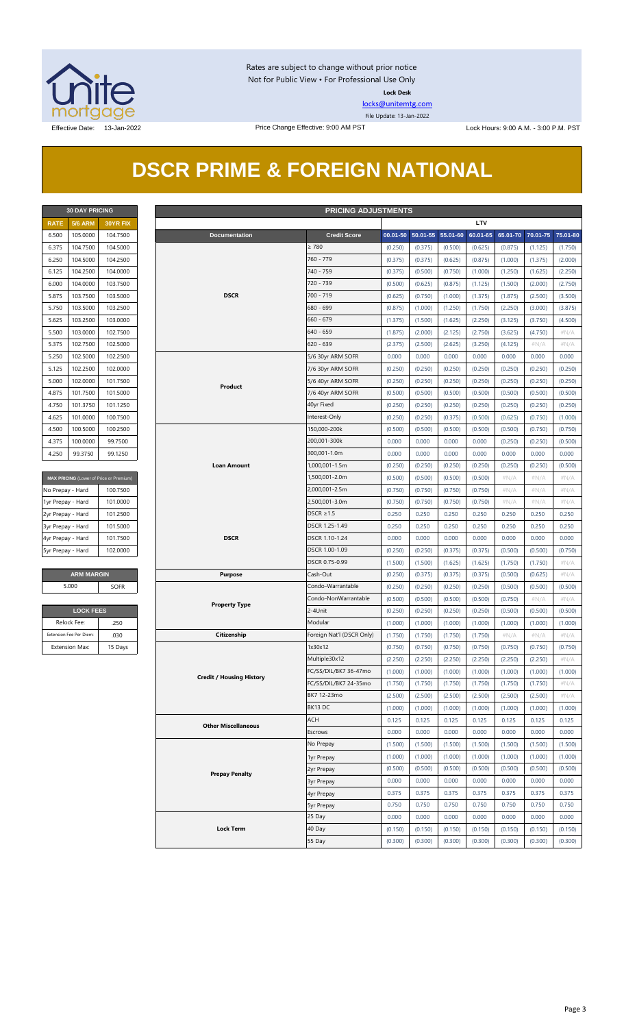

Rates are subject to change without prior notice Not for Public View • For Professional Use Only **Lock Desk**

[locks@unitemtg.com](mailto:locks@unitemtg.com)

File Update: 13-Jan-2022

## **DSCR PRIME & FOREIGN NATIONAL**

|             | <b>30 DAY PRICING</b> |                 |  |  |  |  |  |  |  |
|-------------|-----------------------|-----------------|--|--|--|--|--|--|--|
| <b>RATE</b> | <b>5/6 ARM</b>        | <b>30YR FIX</b> |  |  |  |  |  |  |  |
| 6.500       | 105.0000              | 104.7500        |  |  |  |  |  |  |  |
| 6.375       | 104.7500              | 104.5000        |  |  |  |  |  |  |  |
| 6.250       | 104.5000              | 104.2500        |  |  |  |  |  |  |  |
| 6.125       | 104.2500              | 104.0000        |  |  |  |  |  |  |  |
| 6.000       | 104.0000              | 103.7500        |  |  |  |  |  |  |  |
| 5.875       | 103.7500              | 103.5000        |  |  |  |  |  |  |  |
| 5.750       | 103.5000              | 103.2500        |  |  |  |  |  |  |  |
| 5.625       | 103.2500              | 103.0000        |  |  |  |  |  |  |  |
| 5.500       | 103.0000              | 102.7500        |  |  |  |  |  |  |  |
| 5.375       | 102.7500              | 102.5000        |  |  |  |  |  |  |  |
| 5.250       | 102.5000              | 102.2500        |  |  |  |  |  |  |  |
| 5.125       | 102.2500              | 102.0000        |  |  |  |  |  |  |  |
| 5.000       | 102,0000              | 101.7500        |  |  |  |  |  |  |  |
| 4.875       | 101.7500              | 101.5000        |  |  |  |  |  |  |  |
| 4.750       | 101.3750              | 101.1250        |  |  |  |  |  |  |  |
| 4.625       | 101.0000              | 100.7500        |  |  |  |  |  |  |  |
| 4.500       | 100.5000              | 100.2500        |  |  |  |  |  |  |  |
| 4.375       | 100.0000              | 99.7500         |  |  |  |  |  |  |  |
| 4.250       | 99.3750               | 99.1250         |  |  |  |  |  |  |  |

| <b>MAX PRICING</b> (Lower of Price or Premium) |          |  |  |  |  |  |
|------------------------------------------------|----------|--|--|--|--|--|
| No Prepay - Hard                               | 100.7500 |  |  |  |  |  |
| 1yr Prepay - Hard                              | 101.0000 |  |  |  |  |  |
| 2yr Prepay - Hard                              | 101.2500 |  |  |  |  |  |
| 3yr Prepay - Hard                              | 101.5000 |  |  |  |  |  |
| 4yr Prepay - Hard                              | 101.7500 |  |  |  |  |  |
| 5yr Prepay - Hard                              | 102,0000 |  |  |  |  |  |
|                                                |          |  |  |  |  |  |

| <b>LOCK FEES</b>        |         |  |  |  |  |  |
|-------------------------|---------|--|--|--|--|--|
| Relock Fee:             | 250     |  |  |  |  |  |
| Extension Fee Per Diem: | .030    |  |  |  |  |  |
| <b>Extension Max:</b>   | 15 Days |  |  |  |  |  |

|                   |                         | <b>PRICING ADJUSTMENTS</b><br><b>30 DAY PRICING</b> |  |                                 |                                      |                    |                    |                    |                    |                    |                    |                    |
|-------------------|-------------------------|-----------------------------------------------------|--|---------------------------------|--------------------------------------|--------------------|--------------------|--------------------|--------------------|--------------------|--------------------|--------------------|
| <b>RATE</b>       | <b>5/6 ARM</b>          | 30YR FIX                                            |  |                                 |                                      |                    |                    |                    | <b>LTV</b>         |                    |                    |                    |
| 6.500             | 105.0000                | 104.7500                                            |  | <b>Documentation</b>            | <b>Credit Score</b>                  | 00.01-50           | 50.01-55 55.01-60  |                    | 60.01-65           | 65.01-70           | 70.01-75           | 75.01-80           |
| 6.375             | 104.7500                | 104.5000                                            |  |                                 | $\geq 780$                           | (0.250)            | (0.375)            | (0.500)            | (0.625)            | (0.875)            | (1.125)            | (1.750)            |
| 6.250             | 104.5000                | 104.2500                                            |  |                                 | 760 - 779                            | (0.375)            | (0.375)            | (0.625)            | (0.875)            | (1.000)            | (1.375)            | (2.000)            |
| 6.125             | 104.2500                | 104.0000                                            |  |                                 | 740 - 759                            | (0.375)            | (0.500)            | (0.750)            | (1.000)            | (1.250)            | (1.625)            | (2.250)            |
| 6.000             | 104.0000                | 103.7500                                            |  |                                 | 720 - 739                            | (0.500)            | (0.625)            | (0.875)            | (1.125)            | (1.500)            | (2.000)            | (2.750)            |
| 5.875             | 103.7500                | 103.5000                                            |  | <b>DSCR</b><br>$700 - 719$      |                                      | (0.625)            | (0.750)            | (1.000)            | (1.375)            | (1.875)            | (2.500)            | (3.500)            |
| 5.750             | 103.5000                | 103.2500                                            |  |                                 | 680 - 699                            | (0.875)            | (1.000)            | (1.250)            | (1.750)            | (2.250)            | (3.000)            | (3.875)            |
| 5.625             | 103.2500                | 103.0000                                            |  |                                 | $660 - 679$                          | (1.375)            | (1.500)            | (1.625)            | (2.250)            | (3.125)            | (3.750)            | (4.500)            |
| 5.500             | 103.0000                | 102.7500                                            |  |                                 | $640 - 659$                          | (1.875)            | (2.000)            | (2.125)            | (2.750)            | (3.625)            | (4.750)            | $\#N/A$            |
| 5.375             | 102.7500                | 102.5000                                            |  |                                 | $620 - 639$                          | (2.375)            | (2.500)            | (2.625)            | (3.250)            | (4.125)            | $\#N/A$            | $\#N/A$            |
| 5.250             | 102.5000                | 102.2500                                            |  |                                 | 5/6 30yr ARM SOFR                    | 0.000              | 0.000              | 0.000              | 0.000              | 0.000              | 0.000              | 0.000              |
| 5.125             | 102.2500                | 102.0000                                            |  |                                 | 7/6 30yr ARM SOFR                    | (0.250)            | (0.250)            | (0.250)            | (0.250)            | (0.250)            | (0.250)            | (0.250)            |
| 5.000             | 102.0000                | 101.7500                                            |  |                                 | 5/6 40yr ARM SOFR                    | (0.250)            | (0.250)            | (0.250)            | (0.250)            | (0.250)            | (0.250)            | (0.250)            |
| 4.875             | 101.7500                | 101.5000                                            |  | Product                         | 7/6 40yr ARM SOFR                    | (0.500)            | (0.500)            | (0.500)            | (0.500)            | (0.500)            | (0.500)            | (0.500)            |
| 4.750             | 101.3750                | 101.1250                                            |  |                                 | 40yr Fixed                           | (0.250)            | (0.250)            | (0.250)            | (0.250)            | (0.250)            | (0.250)            | (0.250)            |
| 4.625             | 101.0000                | 100.7500                                            |  |                                 | Interest-Only                        | (0.250)            | (0.250)            | (0.375)            | (0.500)            | (0.625)            | (0.750)            | (1.000)            |
| 4.500             | 100.5000                | 100.2500                                            |  |                                 | 150,000-200k                         | (0.500)            | (0.500)            | (0.500)            | (0.500)            | (0.500)            | (0.750)            | (0.750)            |
| 4.375             | 100.0000                | 99.7500                                             |  |                                 | 200,001-300k                         | 0.000              | 0.000              | 0.000              | 0.000              | (0.250)            | (0.250)            | (0.500)            |
| 4.250             | 99.3750                 | 99.1250                                             |  |                                 | 300,001-1.0m                         | 0.000              | 0.000              | 0.000              | 0.000              | 0.000              | 0.000              | 0.000              |
|                   |                         |                                                     |  | <b>Loan Amount</b>              | 1,000,001-1.5m                       | (0.250)            | (0.250)            | (0.250)            | (0.250)            | (0.250)            | (0.250)            | (0.500)            |
|                   |                         | MAX PRICING (Lower of Price or Premium)             |  |                                 | 1,500,001-2.0m                       | (0.500)            | (0.500)            | (0.500)            | (0.500)            | # $N/A$            | $\#N/A$            | # $N/A$            |
| No Prepay - Hard  |                         | 100.7500                                            |  |                                 | 2,000,001-2.5m                       | (0.750)            | (0.750)            | (0.750)            | (0.750)            | # $N/A$            | $\#N/A$            | # $N/A$            |
| 1yr Prepay - Hard |                         | 101.0000                                            |  |                                 | 2,500,001-3.0m                       | (0.750)            | (0.750)            | (0.750)            | (0.750)            | # $N/A$            | $\#N/A$            | # $N/A$            |
| 2yr Prepay - Hard |                         | 101.2500                                            |  |                                 | DSCR $\geq$ 1.5                      | 0.250              | 0.250              | 0.250              | 0.250              | 0.250              | 0.250              | 0.250              |
| 3yr Prepay - Hard |                         | 101.5000                                            |  |                                 | DSCR 1.25-1.49                       | 0.250              | 0.250              | 0.250              | 0.250              | 0.250              | 0.250              | 0.250              |
| 4yr Prepay - Hard |                         | 101.7500                                            |  | <b>DSCR</b>                     | DSCR 1.10-1.24                       | 0.000              | 0.000              | 0.000              | 0.000              | 0.000              | 0.000              | 0.000              |
| 5yr Prepay - Hard |                         | 102.0000                                            |  |                                 | DSCR 1.00-1.09                       | (0.250)            | (0.250)            | (0.375)            | (0.375)            | (0.500)            | (0.500)            | (0.750)            |
|                   |                         |                                                     |  | DSCR 0.75-0.99                  | (1.500)                              | (1.500)            | (1.625)            | (1.625)            | (1.750)            | (1.750)            | $\#N/A$            |                    |
|                   | <b>ARM MARGIN</b>       |                                                     |  | <b>Purpose</b>                  | Cash-Out                             | (0.250)            | (0.375)            | (0.375)            | (0.375)            | (0.500)            | (0.625)            | $\#N/A$            |
|                   | 5.000                   | <b>SOFR</b>                                         |  |                                 | Condo-Warrantable                    | (0.250)            | (0.250)            | (0.250)            | (0.250)            | (0.500)            | (0.500)            | (0.500)            |
|                   |                         |                                                     |  |                                 | Condo-NonWarrantable                 | (0.500)            | (0.500)            | (0.500)            | (0.500)            | (0.750)            | $\#N/A$            | #N/A               |
|                   | <b>LOCK FEES</b>        |                                                     |  | <b>Property Type</b>            | 2-4Unit                              |                    |                    |                    |                    |                    |                    |                    |
|                   | Relock Fee:             |                                                     |  |                                 | Modular                              | (0.250)            | (0.250)            | (0.250)            | (0.250)            | (0.500)            | (0.500)            | (0.500)            |
|                   | Extension Fee Per Diem: | .250                                                |  |                                 |                                      | (1.000)            | (1.000)            | (1.000)            | (1.000)            | (1.000)            | (1.000)            | (1.000)            |
|                   | <b>Extension Max:</b>   | .030                                                |  | Citizenship                     | Foreign Nat'l (DSCR Only)<br>1x30x12 | (1.750)            | (1.750)            | (1.750)            | (1.750)            | $\#N/A$            | $\#N/A$            | $\#N/A$            |
|                   |                         | 15 Days                                             |  |                                 | Multiple30x12                        | (0.750)<br>(2.250) | (0.750)<br>(2.250) | (0.750)<br>(2.250) | (0.750)<br>(2.250) | (0.750)<br>(2.250) | (0.750)<br>(2.250) | (0.750)<br>$\#N/A$ |
|                   |                         |                                                     |  |                                 |                                      |                    |                    |                    |                    |                    |                    |                    |
|                   |                         |                                                     |  | <b>Credit / Housing History</b> | FC/SS/DIL/BK7 36-47mo                | (1.000)            | (1.000)            | (1.000)            | (1.000)            | (1.000)            | (1.000)            | (1.000)            |
|                   |                         |                                                     |  |                                 | FC/SS/DIL/BK7 24-35mo                | (1.750)            | (1.750)            | (1.750)            | (1.750)            | (1.750)            | (1.750)            | # $N/A$            |
|                   |                         |                                                     |  |                                 | BK7 12-23mo                          | (2.500)            | (2.500)            | (2.500)            | (2.500)            | (2.500)            | (2.500)            | $\#N/A$            |
|                   |                         |                                                     |  |                                 | BK13 DC                              | (1.000)            | (1.000)            | (1.000)            | (1.000)            | (1.000)            | (1.000)            | (1.000)            |
|                   |                         |                                                     |  | <b>Other Miscellaneous</b>      | ACH                                  | 0.125              | 0.125              | 0.125              | 0.125              | 0.125              | 0.125              | 0.125              |
|                   |                         |                                                     |  |                                 | Escrows                              | 0.000              | 0.000              | 0.000              | 0.000              | 0.000              | 0.000              | 0.000              |
|                   |                         |                                                     |  |                                 | No Prepay                            | (1.500)            | (1.500)            | (1.500)            | (1.500)            | (1.500)            | (1.500)            | (1.500)            |
|                   |                         |                                                     |  | 1yr Prepay                      | (1.000)                              | (1.000)            | (1.000)            | (1.000)            | (1.000)            | (1.000)            | (1.000)            |                    |
|                   |                         |                                                     |  | <b>Prepay Penalty</b>           | 2yr Prepay                           | (0.500)            | (0.500)            | (0.500)            | (0.500)            | (0.500)            | (0.500)            | (0.500)            |
|                   |                         |                                                     |  |                                 | 3yr Prepay                           | 0.000              | 0.000              | 0.000              | 0.000              | 0.000              | 0.000              | 0.000              |
|                   |                         |                                                     |  |                                 | 4yr Prepay                           | 0.375              | 0.375              | 0.375              | 0.375              | 0.375              | 0.375              | 0.375              |
|                   |                         |                                                     |  |                                 | 5yr Prepay                           | 0.750              | 0.750              | 0.750              | 0.750              | 0.750              | 0.750              | 0.750              |
|                   |                         |                                                     |  |                                 | 25 Day                               | 0.000              | 0.000              | 0.000              | 0.000              | 0.000              | 0.000              | 0.000              |
|                   |                         |                                                     |  | <b>Lock Term</b>                | 40 Day                               | (0.150)            | (0.150)            | (0.150)            | (0.150)            | (0.150)            | (0.150)            | (0.150)            |
|                   |                         |                                                     |  |                                 | 55 Day                               | (0.300)            | (0.300)            | (0.300)            | (0.300)            | (0.300)            | (0.300)            | (0.300)            |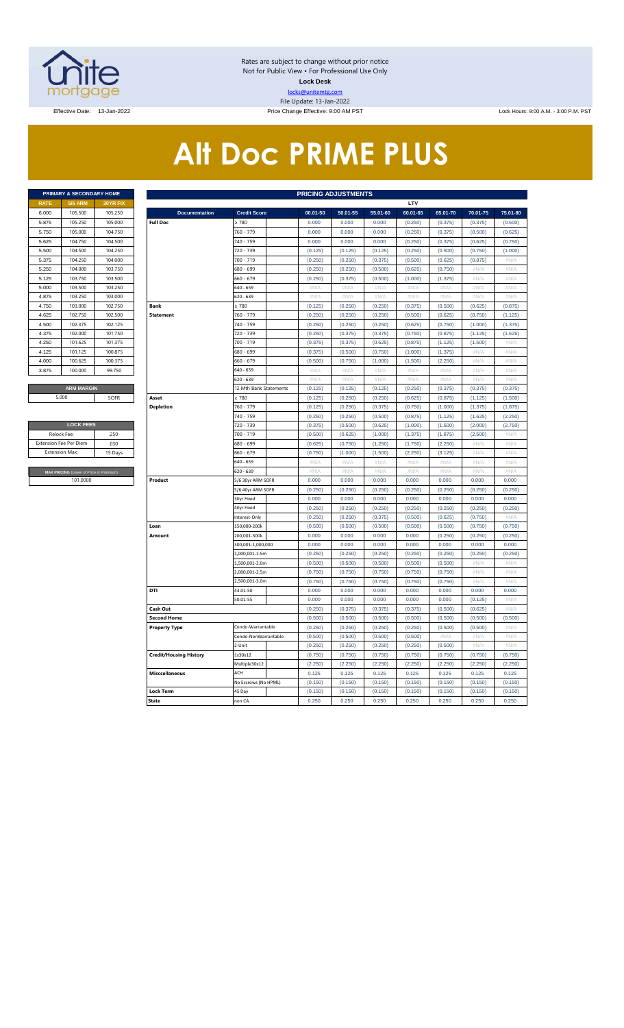

Rates are subject to change without prior notice Not for Public View • For Professional Use Only **Lock Desk** locks@unitemtg.com File Update: 13-Jan-2022

Effective Date: 13-Jan-2022 **Price Change Effective: 9:00 AM PST** Lock Hours: 9:00 A.M. - 3:00 P.M. PST

# **Alt Doc PRIME PLUS**

|             | <b>PRIMARY &amp; SECONDARY HOME</b> |                 |
|-------------|-------------------------------------|-----------------|
| <b>RATE</b> | <b>5/6 ARM</b>                      | <b>30YR FIX</b> |
| 6.000       | 105.500                             | 105.250         |
| 5.875       | 105.250                             | 105.000         |
| 5.750       | 105.000                             | 104.750         |
| 5.625       | 104.750                             | 104.500         |
| 5.500       | 104.500                             | 104.250         |
| 5.375       | 104.250                             | 104,000         |
| 5.250       | 104.000                             | 103.750         |
| 5.125       | 103.750                             | 103.500         |
| 5.000       | 103.500                             | 103.250         |
| 4.875       | 103.250                             | 103,000         |
| 4.750       | 103,000                             | 102.750         |
| 4.625       | 102.750                             | 102.500         |
| 4.500       | 102.375                             | 102.125         |
| 4.375       | 102,000                             | 101.750         |
| 4.250       | 101.625                             | 101.375         |
| 4.125       | 101.125                             | 100.875         |
| 4.000       | 100.625                             | 100.375         |
| 3.875       | 100.000                             | 99.750          |
|             |                                     |                 |
|             | <b>ARM MARGIN</b>                   |                 |

| <b>LOCK FEES</b>                        |         |  |  |  |  |  |  |  |  |  |
|-----------------------------------------|---------|--|--|--|--|--|--|--|--|--|
| Relock Fee:                             | 250     |  |  |  |  |  |  |  |  |  |
| <b>Extension Fee Per Diem</b>           | .030    |  |  |  |  |  |  |  |  |  |
| <b>Extension Max:</b>                   | 15 Days |  |  |  |  |  |  |  |  |  |
|                                         |         |  |  |  |  |  |  |  |  |  |
| MAX PRICING (Lower of Price or Premium) |         |  |  |  |  |  |  |  |  |  |
| 101.0000                                |         |  |  |  |  |  |  |  |  |  |

|                       | PRIMARY & SECONDARY HOME                |          | <b>PRICING ADJUSTMENTS</b>    |                                    |                    |                    |                    |                    |                    |                  |                  |  |  |  |
|-----------------------|-----------------------------------------|----------|-------------------------------|------------------------------------|--------------------|--------------------|--------------------|--------------------|--------------------|------------------|------------------|--|--|--|
| <b>RATE</b>           | <b>5/6 ARM</b>                          | 30YR FIX |                               |                                    |                    |                    |                    | LTV                |                    |                  |                  |  |  |  |
| 6.000                 | 105.500                                 | 105.250  | <b>Documentation</b>          | <b>Credit Score</b>                | 00.01-50           | 50.01-55           | 55.01-60           | 60.01-65           | 65.01-70           | 70.01-75         | 75.01-80         |  |  |  |
| 5.875                 | 105.250                                 | 105.000  | <b>Full Doc</b>               | 2780                               | 0.000              | 0.000              | 0.000              | (0.250)            | (0.375)            | (0.375)          | (0.500)          |  |  |  |
| 5.750                 | 105.000                                 | 104.750  |                               | 760 - 779                          | 0.000              | 0.000              | 0.000              | (0.250)            | (0.375)            | (0.500)          | (0.625)          |  |  |  |
| 5.625                 | 104.750                                 | 104.500  |                               | 740 - 759                          | 0.000              | 0.000              | 0.000              | (0.250)            | (0.375)            | (0.625)          | (0.750)          |  |  |  |
| 5.500                 | 104.500                                 | 104.250  |                               | 720 - 739                          | (0.125)            | (0.125)            | (0.125)            | (0.250)            | (0.500)            | (0.750)          | (1.000)          |  |  |  |
| 5.375                 | 104.250                                 | 104.000  |                               | 700 - 719                          | (0.250)            | (0.250)            | (0.375)            | (0.500)            | (0.625)            | (0.875)          | #N/A             |  |  |  |
| 5.250                 | 104.000                                 | 103.750  |                               | 580 - 699                          | (0.250)            | (0.250)            | (0.500)            | (0.625)            | (0.750)            | #N//             | #N/A             |  |  |  |
| 5.125                 | 103.750                                 | 103.500  |                               | 660 - 679                          | (0.250)            | (0.375)            | (0.500)            | (1.000)            | (1.375)            | #N/A             | #N/A             |  |  |  |
| 5.000                 | 103.500                                 | 103.250  |                               | 640 - 659                          | $\#N/A$            | $\#N/A$            | #N/A               | #N/A               | $\#N/A$            | #N/A             | #N/A             |  |  |  |
| 4.875                 | 103.250                                 | 103.000  |                               | 620 - 639                          | #N/A               | #N/A               | #N/A               | #N/A               | # $N/A$            | #N/ $/$          | #N/A             |  |  |  |
| 4.750                 | 103.000                                 | 102.750  | <b>Bank</b>                   | $\geq 780$                         | (0.125)            | (0.250)            | (0.250)            | (0.375)            | (0.500)            | (0.625)          | (0.875)          |  |  |  |
| 4.625                 | 102.750                                 | 102.500  | <b>Statement</b>              | 760 - 779                          | (0.250)            | (0.250)            | (0.250)            | (0.500)            | (0.625)            | (0.750)          | (1.125)          |  |  |  |
| 4.500                 | 102.375                                 | 102.125  |                               | 740 - 759                          | (0.250)            | (0.250)            | (0.250)            | (0.625)            | (0.750)            | (1.000)          | (1.375)          |  |  |  |
| 4.375                 | 102.000                                 | 101.750  |                               | 720 - 739                          | (0.250)            | (0.375)            | (0.375)            | (0.750)            | (0.875)            | (1.125)          | (1.625)          |  |  |  |
| 4.250                 | 101.625                                 | 101.375  |                               | 700 - 719                          | (0.375)            | (0.375)            | (0.625)            | (0.875)            | (1.125)            | (1.500)          | #N/A             |  |  |  |
| 4.125                 | 101.125                                 | 100.875  |                               | 680 - 699                          | (0.375)            | (0.500)            | (0.750)            | (1.000)            | (1.375)            | #N/A             | $\#N/\beta$      |  |  |  |
| 4.000                 | 100.625                                 | 100.375  |                               | 660 - 679                          | (0.500)            | (0.750)            | (1.000)            | (1.500)            | (2.250)            | #N/A             | #N/A             |  |  |  |
| 3.875                 | 100.000                                 | 99.750   |                               | 640 - 659                          | $\#N/A$            | #N/A               | $\#N/A$            | $\#N/A$            | $\#N/A$            | #N/A             | #N/A             |  |  |  |
|                       |                                         |          |                               | 620 - 639                          | $\#N/A$            | #N/A               | $\#N/A$            | $\#N/A$            | $\#N/A$            | #N/A             | #N/A             |  |  |  |
|                       | <b>ARM MARGIN</b>                       |          |                               | 12 Mth Bank Statements             | (0.125)            | (0.125)            | (0.125)            | (0.250)            | (0.375)            | (0.375)          | (0.375)          |  |  |  |
| 5.000                 |                                         | SOFR     | Asset                         | $\geq 780$                         | (0.125)            | (0.250)            | (0.250)            | (0.625)            | (0.875)            | (1.125)          | (1.500)          |  |  |  |
|                       |                                         |          | <b>Depletion</b>              | 760 - 779                          | (0.125)            | (0.250)            | (0.375)            | (0.750)            | (1.000)            | (1.375)          | (1.875)          |  |  |  |
|                       |                                         |          |                               | 740 - 759                          | (0.250)            | (0.250)            | (0.500)            | (0.875)            | (1.125)            | (1.625)          | (2.250)          |  |  |  |
|                       | <b>LOCK FEES</b>                        |          |                               | 720 - 739                          | (0.375)            | (0.500)            | (0.625)            | (1.000)            | (1.500)            | (2.000)          | (2.750)          |  |  |  |
| Relock Fee:           |                                         | .250     |                               | 700 - 719                          | (0.500)            | (0.625)            | (1.000)            | (1.375)            | (1.875)            | (2.500)          | $\#N/A$          |  |  |  |
|                       | xtension Fee Per Diem                   | .030     |                               | 680 - 699                          | (0.625)            | (0.750)            | (1.250)            | (1.750)            | (2.250)            | #N/A             | #N/A             |  |  |  |
| <b>Extension Max:</b> |                                         | 15 Days  |                               | 660 - 679                          | (0.750)            | (1.000)            | (1.500)            | (2.250)            | (3.125)            | # $N/A$          | #N/A             |  |  |  |
|                       |                                         |          |                               | 640 - 659                          | $\#N/A$            | #N/A               | $\#N/A$            | $\#N/A$            | $\#N/A$            | #N/A             | #N/A             |  |  |  |
|                       | MAX PRICING (Lower of Price or Premium) |          |                               | 520 - 639                          | $\#N/A$            | $\#N/A$            | $\#N/A$            | $\#N/A$            | #N/A               | $\#N/F$          | $\#N/\beta$      |  |  |  |
|                       | 101.0000                                |          | Product                       | 5/6 30yr ARM SOFR                  | 0.000              | 0.000              | 0.000              | 0.000              | 0.000              | 0.000            | 0.000            |  |  |  |
|                       |                                         |          |                               | 5/6 40yr ARM SOFR                  | (0.250)            | (0.250)            | (0.250)            | (0.250)            | (0.250)            | (0.250)          | (0.250)          |  |  |  |
|                       |                                         |          |                               | 30yr Fixed                         | 0.000              | 0.000              | 0.000              | 0.000              | 0.000              | 0.000            | 0.000            |  |  |  |
|                       |                                         |          |                               | 40yr Fixed                         | (0.250)            | (0.250)            | (0.250)            | (0.250)            | (0.250)            | (0.250)          | (0.250)          |  |  |  |
|                       |                                         |          |                               | Interest-Only                      | (0.250)            | (0.250)            | (0.375)            | (0.500)            | (0.625)            | (0.750)          | $\#N/A$          |  |  |  |
|                       |                                         |          | Loan                          | 150,000-200k                       | (0.500)            | (0.500)            | (0.500)            | (0.500)            | (0.500)            | (0.750)          | (0.750)          |  |  |  |
|                       |                                         |          | Amount                        | 200,001-300k                       | 0.000              | 0.000              | 0.000              | 0.000              | (0.250)            | (0.250)          | (0.250)          |  |  |  |
|                       |                                         |          |                               | 300,001-1,000,000<br>L000.001-1.5m | 0.000<br>(0.250)   | 0.000<br>(0.250)   | 0.000<br>(0.250)   | 0.000<br>(0.250)   | 0.000<br>(0.250)   | 0.000<br>(0.250) | 0.000<br>(0.250) |  |  |  |
|                       |                                         |          |                               |                                    |                    |                    |                    |                    |                    |                  |                  |  |  |  |
|                       |                                         |          |                               | L,500,001-2.0m<br>2,000,001-2.5m   | (0.500)<br>(0.750) | (0.500)<br>(0.750) | (0.500)            | (0.500)<br>(0.750) | (0.500)            | #N/A<br>#N/A     | #N/A<br>$\#N/A$  |  |  |  |
|                       |                                         |          |                               | 2,500,001-3.0m                     | (0.750)            | (0.750)            | (0.750)<br>(0.750) | (0.750)            | (0.750)<br>(0.750) | #N/A             | #N/A             |  |  |  |
|                       |                                         |          | DTI                           | 43.01-50                           | 0.000              | 0.000              | 0.000              | 0.000              | 0.000              | 0.000            | 0.000            |  |  |  |
|                       |                                         |          |                               | 50.01-55                           | 0.000              | 0.000              | 0.000              | 0.000              | 0.000              | (0.125)          | #N/A             |  |  |  |
|                       |                                         |          | Cash Out                      |                                    | (0.250)            | (0.375)            | (0.375)            | (0.375)            | (0.500)            | (0.625)          | #N/A             |  |  |  |
|                       |                                         |          | <b>Second Home</b>            |                                    | (0.500)            | (0.500)            | (0.500)            | (0.500)            | (0.500)            | (0.500)          | (0.500)          |  |  |  |
|                       |                                         |          | <b>Property Type</b>          | Condo-Warrantable                  | (0.250)            | (0.250)            | (0.250)            | (0.250)            | (0.500)            | (0.500)          | #N/A             |  |  |  |
|                       |                                         |          |                               | Condo-NonWarrantable               | (0.500)            | (0.500)            | (0.500)            | (0.500)            | #N/A               | #N/A             | #N/A             |  |  |  |
|                       |                                         |          |                               | 2-Unit                             | (0.250)            | (0.250)            | (0.250)            | (0.250)            | (0.500)            | #N/A             | $\#N/A$          |  |  |  |
|                       |                                         |          | <b>Credit/Housing History</b> | 1x30x12                            | (0.750)            | (0.750)            | (0.750)            | (0.750)            | (0.750)            | (0.750)          | (0.750)          |  |  |  |
|                       |                                         |          |                               | Multiple30x12                      | (2.250)            | (2.250)            | (2.250)            | (2.250)            | (2.250)            | (2.250)          | (2.250)          |  |  |  |
|                       |                                         |          | <b>Misccellaneous</b>         | ACH                                | 0.125              | 0.125              | 0.125              | 0.125              | 0.125              | 0.125            | 0.125            |  |  |  |
|                       |                                         |          |                               | No Escrows (No HPML)               | (0.150)            | (0.150)            | (0.150)            | (0.150)            | (0.150)            | (0.150)          | (0.150)          |  |  |  |
|                       |                                         |          | Lock Term                     | 45 Day                             | (0.150)            | (0.150)            | (0.150)            | (0.150)            | (0.150)            | (0.150)          | (0.150)          |  |  |  |
|                       |                                         |          | <b>State</b>                  | non CA                             | 0.250              | 0.250              | 0.250              | 0.250              | 0.250              | 0.250            | 0.250            |  |  |  |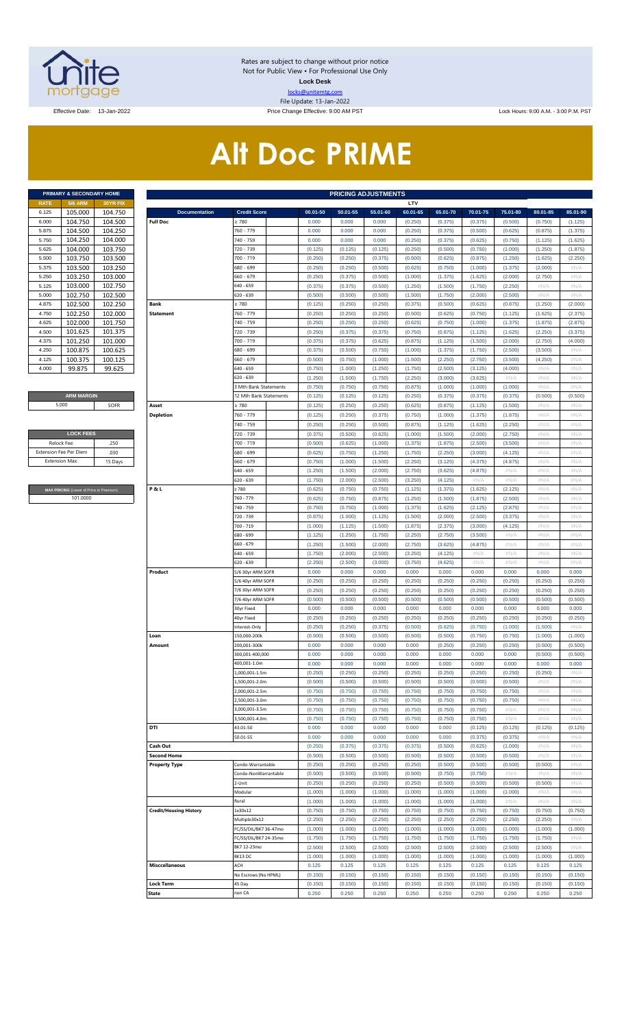

Rates are subject to change without prior notice Not for Public View • For Professional Use Only **Lock Desk** locks@unitemtg.com File Update: 13-Jan-2022

Effective Date: 13-Jan-2022 **Price Change Effective: 9:00 AM PST** Lock Hours: 9:00 A.M. - 3:00 P.M. PST

# **Alt Doc PRIME**

|             | <b>PRIMARY &amp; SECONDARY HOME</b> |                 |
|-------------|-------------------------------------|-----------------|
| <b>RATE</b> | <b>5/6 ARM</b>                      | <b>30YR FIX</b> |
| 6.125       | 105.000                             | 104.750         |
| 6.000       | 104.750                             | 104.500         |
| 5.875       | 104.500                             | 104 250         |
| 5.750       | 104.250                             | 104.000         |
| 5.625       | 104.000                             | 103.750         |
| 5.500       | 103.750                             | 103.500         |
| 5.375       | 103.500                             | 103.250         |
| 5.250       | 103.250                             | 103.000         |
| 5.125       | 103.000                             | 102.750         |
| 5.000       | 102.750                             | 102.500         |
| 4.875       | 102.500                             | 102.250         |
| 4.750       | 102.250                             | 102.000         |
| 4.625       | 102.000                             | 101 750         |
| 4.500       | 101.625                             | 101.375         |
| 4.375       | 101.250                             | 101.000         |
| 4.250       | 100.875                             | 100.625         |
| 4.125       | 100.375                             | 100.125         |
| 4.000       | 99.875                              | 99.625          |

#### **ARM MARGIN** 5.000

| <b>LOCK FEES</b>              |         |  |  |  |  |  |  |  |  |
|-------------------------------|---------|--|--|--|--|--|--|--|--|
| Relock Fee:                   | .250    |  |  |  |  |  |  |  |  |
| <b>Extension Fee Per Diem</b> | .030    |  |  |  |  |  |  |  |  |
| <b>Extension Max:</b>         | 15 Days |  |  |  |  |  |  |  |  |
|                               |         |  |  |  |  |  |  |  |  |

**RICING** (Lower of Price or Premium) 101.0000

|                       | PRIMARY & SECONDARY HOME                |                    |                        |                            |                    | <b>PRICING ADJUSTMENTS</b> |                    |                    |                    |                    |                    |                    |                    |
|-----------------------|-----------------------------------------|--------------------|------------------------|----------------------------|--------------------|----------------------------|--------------------|--------------------|--------------------|--------------------|--------------------|--------------------|--------------------|
| RATE                  | <b>5/6 ARM</b>                          | 30YR FIX           |                        |                            |                    |                            |                    | LTV                |                    |                    |                    |                    |                    |
| 6.125                 | 105.000                                 | 104.750            | <b>Documentation</b>   | <b>Credit Score</b>        | 00.01-50           | $50.01 - 55$               | 55.01-60           | 60.01-65           | 65.01-70           | 70.01-75           | 75.01-80           | 80.01-85           | 85.01-90           |
| 6.000                 | 104.750                                 | 104.500            | <b>Full Doc</b>        | $\geq 780$                 | 0.000              | 0.000                      | 0.000              | (0.250)            | (0.375)            | (0.375)            | (0.500)            | (0.750)            | (1.125)            |
| 5.875                 | 104.500                                 | 104.250            |                        | 760 - 779                  | 0.000              | 0.000                      | 0.000              | (0.250)            | (0.375)            | (0.500)            | (0.625)            | (0.875)            | (1.375)            |
| 5.750                 | 104.250                                 | 104.000            |                        | 740 - 759                  | 0.000              | 0.000                      | 0.000              | (0.250)            | (0.375)            | (0.625)            | (0.750)            | (1.125)            | (1.625)            |
| 5.625                 | 104.000                                 | 103.750            |                        | 720 - 739                  | (0.125)            | (0.125)                    | (0.125)            | (0.250)            | (0.500)            | (0.750)            | (1.000)            | (1.250)            | (1.875)            |
| 5.500                 | 103.750                                 | 103.500            |                        | 700 - 719                  | (0.250)            | (0.250)                    | (0.375)            | (0.500)            | (0.625)            | (0.875)            | (1.250)            | (1.625)            | (2.250)            |
| 5.375                 | 103.500                                 | 103.250            |                        | 680 - 699                  | (0.250)            | (0.250)                    | (0.500)            | (0.625)            | (0.750)            | (1.000)            | (1.375)            | (2.000)            | #N/A               |
| 5.250                 | 103.250                                 | 103.000            |                        | 660 - 679                  | (0.250)            | (0.375)                    | (0.500)            | (1.000)            | (1.375)            | (1.625)            | (2.000)            | (2.750)            | #N/A               |
| 5.125                 | 103.000                                 | 102.750            |                        | 640 - 659                  | (0.375)            | (0.375)                    | (0.500)            | (1.250)            | (1.500)            | (1.750)            | (2.250)            | $\#N/A$            | #N/A               |
| 5.000                 | 102.750                                 | 102.500            |                        | 620 - 639                  | (0.500)            | (0.500)                    | (0.500)            | (1.500)            | (1.750)            | (2.000)            | (2.500)            | $\#N/A$            | #N/A               |
| 4.875                 | 102.500<br>102.250                      | 102.250            | Bank                   | 2780                       | (0.125)            | (0.250)                    | (0.250)            | (0.375)            | (0.500)            | (0.625)            | (0.875)            | (1.250)            | (2.000)            |
| 4.750<br>4.625        | 102.000                                 | 102.000            | <b>Statement</b>       | 760 - 779                  | (0.250)            | (0.250)<br>(0.250)         | (0.250)            | (0.500)            | (0.625)            | (0.750)            | (1.125)            | (1.625)            | (2.375)            |
| 4.500                 | 101.625                                 | 101.750<br>101.375 |                        | 740 - 759<br>720 - 739     | (0.250)            |                            | (0.250)<br>(0.375) | (0.625)            | (0.750)            | (1.000)            | (1.375)            | (1.875)<br>(2.250) | (2.875)            |
| 4.375                 | 101.250                                 | 101.000            |                        | 700 - 719                  | (0.250)<br>(0.375) | (0.375)<br>(0.375)         | (0.625)            | (0.750)<br>(0.875) | (0.875)<br>(1.125) | (1.125)<br>(1.500) | (1.625)<br>(2.000) | (2.750)            | (3.375)<br>(4.000) |
| 4.250                 | 100.875                                 | 100.625            |                        | 680 - 699                  | (0.375)            | (0.500)                    | (0.750)            | (1.000)            | (1.375)            | (1.750)            | (2.500)            | (3.500)            | #N/A               |
| 4.125                 | 100.375                                 | 100.125            |                        | 660 - 679                  | (0.500)            | (0.750)                    | (1.000)            | (1.500)            | (2.250)            | (2.750)            | (3.500)            | (4.250)            | #N/A               |
| 4.000                 | 99.875                                  | 99.625             |                        | 640 - 659                  | (0.750)            | (1.000)                    | (1.250)            | (1.750)            | (2.500)            | (3.125)            | (4.000)            | #N/A               | #N/A               |
|                       |                                         |                    |                        | 620 - 639                  | (1.250)            | (1.500)                    | (1.750)            | (2.250)            | (3.000)            | (3.625)            | $\#N/A$            | $\#N/A$            | $\#N/A$            |
|                       |                                         |                    |                        | <b>Mth Bank Statements</b> | (0.750)            | (0.750)                    | (0.750)            | (0.875)            | (1.000)            | (1.000)            | (1.000)            | $\#N/A$            | #N/A               |
|                       | <b>ARM MARGIN</b>                       |                    |                        | 12 Mth Bank Statements     | (0.125)            | (0.125)                    | (0.125)            | (0.250)            | (0.375)            | (0.375)            | (0.375)            | (0.500)            | (0.500)            |
| 5.000                 |                                         | SOFR               | Asset                  | 2780                       | (0.125)            | (0.250)                    | (0.250)            | (0.625)            | (0.875)            | (1.125)            | (1.500)            | $\#N/A$            | #N/A               |
|                       |                                         |                    | <b>Depletion</b>       | 760 - 779                  | (0.125)            | (0.250)                    | (0.375)            | (0.750)            | (1.000)            | (1.375)            | (1.875)            | #N/A               | #N/A               |
|                       |                                         |                    |                        | 740 - 759                  | (0.250)            | (0.250)                    | (0.500)            | (0.875)            | (1.125)            | (1.625)            | (2.250)            | #N/A               | #N/A               |
|                       | <b>LOCK FEES</b>                        |                    |                        | 720 - 739                  | (0.375)            | (0.500)                    | (0.625)            | (1.000)            | (1.500)            | (2.000)            | (2.750)            | #N/A               | #N/A               |
| Relock Fee:           |                                         | .250               |                        | 700 - 719                  | (0.500)            | (0.625)                    | (1.000)            | (1.375)            | (1.875)            | (2.500)            | (3.500)            | #N/A               | #N/A               |
|                       | xtension Fee Per Diem                   | .030               |                        | 680 - 699                  | (0.625)            | (0.750)                    | (1.250)            | (1.750)            | (2.250)            | (3.000)            | (4.125)            | #N/A               | #N/A               |
| <b>Extension Max:</b> |                                         | 15 Days            |                        | 660 - 679                  | (0.750)            | (1.000)                    | (1.500)            | (2.250)            | (3.125)            | (4.375)            | (4.875)            | #N/A               | #N/A               |
|                       |                                         |                    |                        | 640 - 659                  | (1.250)            | (1.500)                    | (2.000)            | (2.750)            | (3.625)            | (4.875)            | #N/A               | #N/A               | #N/A               |
|                       |                                         |                    |                        | 620 - 639                  | (1.750)            | (2.000)                    | (2.500)            | (3.250)            | (4.125)            | #N/A               | #N/A               | #N/A               | #N/A               |
|                       | MAX PRICING (Lower of Price or Premium) |                    | <b>P&amp;L</b>         | :780                       | (0.625)            | (0.750)                    | (0.750)            | (1.125)            | (1.375)            | (1.625)            | (2.125)            | #N/A               | #N/A               |
|                       | 101.0000                                |                    |                        | 760 - 779                  | (0.625)            | (0.750)                    | (0.875)            | (1.250)            | (1.500)            | (1.875)            | (2.500)            | #N/A               | #N/A               |
|                       |                                         |                    |                        | 740 - 759                  | (0.750)            | (0.750)                    | (1.000)            | (1.375)            | (1.625)            | (2.125)            | (2.875)            | #N/A               | #N/A               |
|                       |                                         |                    |                        | 720 - 739                  | (0.875)            | (1.000)                    | (1.125)            | (1.500)            | (2.000)            | (2.500)            | (3.375)            | #N/A               | #N/A               |
|                       |                                         |                    |                        | 700 - 719                  | (1.000)            | (1.125)                    | (1.500)            | (1.875)            | (2.375)            | (3.000)            | (4.125)            | #N/A               | #N/A               |
|                       |                                         |                    |                        | 680 - 699                  | (1.125)            | (1.250)                    | (1.750)            | (2.250)            | (2.750)            | (3.500)            | $\#N/A$            | #N/A               | #N/A               |
|                       |                                         |                    |                        | 660 - 679                  | (1.250)            | (1.500)                    | (2.000)            | (2.750)            | (3.625)            | (4.875)            | #N/A               | #N/A               | #N/A               |
|                       |                                         |                    |                        | 640 - 659                  | (1.750)            | (2.000)                    | (2.500)            | (3.250)            | (4.125)            | #N/A               | $\#N/A$            | #N/A               | #N/A               |
|                       |                                         |                    |                        | 620 - 639                  | (2.250)            | (2.500)                    | (3.000)            | (3.750)            | (4.625)            | #N/A               | #N/A               | #N/A               | #N/A               |
|                       |                                         |                    | Product                | 5/6 30yr ARM SOFR          | 0.000              | 0.000                      | 0.000              | 0.000              | 0.000              | 0.000              | 0.000              | 0.000              | 0.000              |
|                       |                                         |                    |                        | 5/6 40yr ARM SOFR          | (0.250)            | (0.250)                    | (0.250)            | (0.250)            | (0.250)            | (0.250)            | (0.250)            | (0.250)            | (0.250)            |
|                       |                                         |                    |                        | 7/6 30yr ARM SOFR          | (0.250)            | (0.250)                    | (0.250)            | (0.250)            | (0.250)            | (0.250)            | (0.250)            | (0.250)            | (0.250)            |
|                       |                                         |                    |                        | 7/6 40yr ARM SOFR          | (0.500)            | (0.500)                    | (0.500)            | (0.500)            | (0.500)            | (0.500)            | (0.500)            | (0.500)            | (0.500)            |
|                       |                                         |                    |                        | 30yr Fixed                 | 0.000              | 0.000                      | 0.000              | 0.000              | 0.000              | 0.000              | 0.000              | 0.000              | 0.000              |
|                       |                                         |                    |                        | 40yr Fixed                 | (0.250)            | (0.250)                    | (0.250)            | (0.250)            | (0.250)            | (0.250)            | (0.250)            | (0.250)            | (0.250)            |
|                       |                                         |                    |                        | Interest-Only              | (0.250)            | (0.250)                    | (0.375)            | (0.500)            | (0.625)            | (0.750)            | (1.000)            | (1.500)            | #N/A               |
|                       |                                         |                    | Loan                   | 150.000-200k               | (0.500)            | (0.500)                    | (0.500)            | (0.500)            | (0.500)            | (0.750)            | (0.750)            | (1.000)            | (1.000)            |
|                       |                                         |                    | Amount                 | 200,001-300k               | 0.000              | 0.000                      | 0.000              | 0.000              | (0.250)            | (0.250)            | (0.250)            | (0.500)            | (0.500)            |
|                       |                                         |                    |                        | 300,001-400,000            | 0.000              | 0.000                      | 0.000              | 0.000              | 0.000              | 0.000              | 0.000              | (0.500)            | (0.500)            |
|                       |                                         |                    |                        | 400,001-1.0m               | 0.000              | 0.000                      | 0.000              | 0.000              | 0.000              | 0.000              | 0.000              | 0.000              | 0.000              |
|                       |                                         |                    |                        | ,000,001-1.5m              | (0.250)            | (0.250)                    | (0.250)            | (0.250)            | (0.250)            | (0.250)            | (0.250)            | (0.250)            | $\#N/A$            |
|                       |                                         |                    |                        | ,500,001-2.0m              | (0.500)            | (0.500)                    | (0.500)            | (0.500)            | (0.500)            | (0.500)            | (0.500)            | #N/A               | #N/A               |
|                       |                                         |                    |                        | ,000,001-2.5m              | (0.750)            | (0.750)                    | (0.750)            | (0.750)            | (0.750)            | (0.750)            | (0.750)            | #N/A               | #N/A               |
|                       |                                         |                    |                        | 500,001-3.0m               | (0.750)            | (0.750)                    | (0.750)            | (0.750)            | (0.750)            | (0.750)            | (0.750)            | #N/A               | #N/A               |
|                       |                                         |                    |                        | ,000,001-3.5m              | (0.750)            | (0.750)                    | (0.750)            | (0.750)            | (0.750)            | (0.750)            | #N/A               | #N/A               | #N/A               |
|                       |                                         |                    |                        | ,500,001-4.0m              | (0.750)            | (0.750)                    | (0.750)            | (0.750)            | (0.750)            | (0.750)            | #N/A               | $\#N/A$            | #N/A               |
|                       |                                         |                    | DTI                    | 13.01-50                   | 0.000              | 0.000                      | 0.000              | 0.000              | 0.000              | (0.125)            | (0.125)            | (0.125)            | (0.125)            |
|                       |                                         |                    |                        | 50.01-55                   | 0.000              | 0.000                      | 0.000              | 0.000              | 0.000              | (0.375)            | (0.375)            | #N/A               | #N/A               |
|                       |                                         |                    | Cash Out               |                            | (0.250)            | (0.375)                    | (0.375)            | (0.375)            | (0.500)            | (0.625)            | (1.000)            | #N/A               | #N/A               |
|                       |                                         |                    | <b>Second Home</b>     |                            | (0.500)            | (0.500)                    | (0.500)            | (0.500)            | (0.500)            | (0.500)            | (0.500)            | #N/A               | #N/A               |
|                       |                                         |                    | <b>Property Type</b>   | Condo-Warrantable          | (0.250)            | (0.250)                    | (0.250)            | (0.250)            | (0.500)            | (0.500)            | (0.500)            | (0.500)            | #N/A               |
|                       |                                         |                    |                        | Condo-NonWarrantable       | (0.500)            | (0.500)                    | (0.500)            | (0.500)            | (0.750)            | (0.750)            | #N/A               | #N/A               | #N/A               |
|                       |                                         |                    |                        | !-Unit                     | (0.250)            | (0.250)                    | (0.250)            | (0.250)            | (0.500)            | (0.500)            | (0.500)            | (0.500)            | #N/A               |
|                       |                                         |                    |                        | Modular                    | (1.000)            | (1.000)                    | (1.000)            | (1.000)            | (1.000)            | (1.000)            | (1.000)            | #N/A               | #N/A               |
|                       |                                         |                    |                        | Rural                      | (1.000)            | (1.000)                    | (1.000)            | (1.000)            | (1.000)            | (1.000)            | #N/A               | #N/A               | #N/A               |
|                       |                                         |                    | Credit/Housing History | Lx30x12                    | (0.750)            | (0.750)                    | (0.750)            | (0.750)            | (0.750)            | (0.750)            | (0.750)            | (0.750)            | (0.750)            |
|                       |                                         |                    |                        | Multiple30x12              | (2.250)            | (2.250)                    | (2.250)            | (2.250)            | (2.250)            | (2.250)            | (2.250)            | (2.250)            | $\#N/A$            |
|                       |                                         |                    |                        | C/SS/DIL/BK7 36-47mo       | (1.000)            | (1.000)                    | (1.000)            | (1.000)            | (1.000)            | (1.000)            | (1.000)            | (1.000)            | (1.000)            |
|                       |                                         |                    |                        | C/SS/DIL/BK7 24-35mo       | (1.750)            | (1.750)                    | (1.750)            | (1.750)            | (1.750)            | (1.750)            | (1.750)            | (1.750)            | #N/A               |
|                       |                                         |                    |                        | BK7 12-23mo                | (2.500)            | (2.500)                    | (2.500)            | (2.500)            | (2.500)            | (2.500)            | (2.500)            | (2.500)            | #N/A               |
|                       |                                         |                    |                        | BK13 DC                    | (1.000)            | (1.000)                    | (1.000)            | (1.000)            | (1.000)            | (1.000)            | (1.000)            | (1.000)            | (1.000)            |
|                       |                                         |                    | <b>Misccellaneous</b>  | ACH                        | 0.125              | 0.125                      | 0.125              | 0.125              | 0.125              | 0.125              | 0.125              | 0.125              | 0.125              |
|                       |                                         |                    |                        | No Escrows (No HPML)       | (0.150)            | (0.150)                    | (0.150)            | (0.150)            | (0.150)            | (0.150)            | (0.150)            | (0.150)            | (0.150)            |
|                       |                                         |                    | <b>Lock Term</b>       | 45 Day                     | (0.150)            | (0.150)                    | (0.150)            | (0.150)            | (0.150)            | (0.150)            | (0.150)            | (0.150)            | (0.150)            |
|                       |                                         |                    | <b>State</b>           | non CA                     | 0.250              | 0.250                      | 0.250              | 0.250              | 0.250              | 0.250              | 0.250              | 0.250              | 0.250              |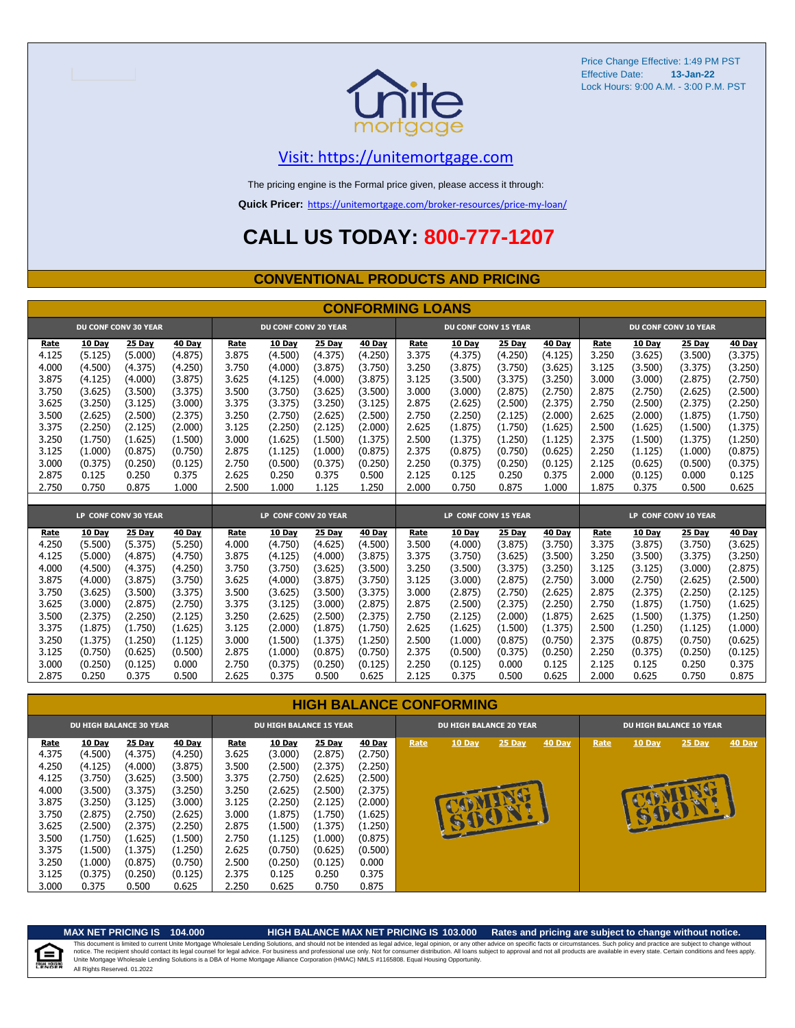

#### [V](https://unitemortgage.com/)isit: https://unitemortgage.com

The pricing engine is the Formal price given, please access it through:

**Quick Pricer:** [https://un](https://unitemortgage.com/broker-resources/price-my-loan/)itemortgage.com/broker-resources/price-my-loan/

### **CALL US TODAY: 800-777-1207**

#### **CONVENTIONAL PRODUCTS AND PRICING**

|       | <b>CONFORMING LOANS</b> |                             |         |                      |                             |         |         |                      |                             |         |         |       |                      |                      |               |  |
|-------|-------------------------|-----------------------------|---------|----------------------|-----------------------------|---------|---------|----------------------|-----------------------------|---------|---------|-------|----------------------|----------------------|---------------|--|
|       |                         | <b>DU CONF CONV 30 YEAR</b> |         |                      | <b>DU CONF CONV 20 YEAR</b> |         |         |                      | <b>DU CONF CONV 15 YEAR</b> |         |         |       | DU CONF CONV 10 YEAR |                      |               |  |
| Rate  | 10 Day                  | 25 Day                      | 40 Day  | Rate                 | 10 Day                      | 25 Day  | 40 Day  | Rate                 | 10 Day                      | 25 Day  | 40 Day  | Rate  | 10 Day               | 25 Day               | <b>40 Day</b> |  |
| 4.125 | (5.125)                 | (5.000)                     | (4.875) | 3.875                | (4.500)                     | (4.375) | (4.250) | 3.375                | (4.375)                     | (4.250) | (4.125) | 3.250 | (3.625)              | (3.500)              | (3.375)       |  |
| 4.000 | (4.500)                 | (4.375)                     | (4.250) | 3.750                | (4.000)                     | (3.875) | (3.750) | 3.250                | (3.875)                     | (3.750) | (3.625) | 3.125 | (3.500)              | (3.375)              | (3.250)       |  |
| 3.875 | (4.125)                 | (4.000)                     | (3.875) | 3.625                | (4.125)                     | (4.000) | (3.875) | 3.125                | (3.500)                     | (3.375) | (3.250) | 3.000 | (3.000)              | (2.875)              | (2.750)       |  |
| 3.750 | (3.625)                 | (3.500)                     | (3.375) | 3.500                | (3.750)                     | (3.625) | (3.500) | 3.000                | (3.000)                     | (2.875) | (2.750) | 2.875 | (2.750)              | (2.625)              | (2.500)       |  |
| 3.625 | (3.250)                 | (3.125)                     | (3.000) | 3.375                | (3.375)                     | (3.250) | (3.125) | 2.875                | (2.625)                     | (2.500) | (2.375) | 2.750 | (2.500)              | (2.375)              | (2.250)       |  |
| 3.500 | (2.625)                 | (2.500)                     | (2.375) | 3.250                | (2.750)                     | (2.625) | (2.500) | 2.750                | (2.250)                     | (2.125) | (2.000) | 2.625 | (2.000)              | (1.875)              | (1.750)       |  |
| 3.375 | (2.250)                 | (2.125)                     | (2.000) | 3.125                | (2.250)                     | (2.125) | (2.000) | 2.625                | (1.875)                     | (1.750) | (1.625) | 2.500 | (1.625)              | (1.500)              | (1.375)       |  |
| 3.250 | (1.750)                 | (1.625)                     | (1.500) | 3.000                | (1.625)                     | (1.500) | (1.375) | 2.500                | (1.375)                     | (1.250) | (1.125) | 2.375 | (1.500)              | (1.375)              | (1.250)       |  |
| 3.125 | (1.000)                 | (0.875)                     | (0.750) | 2.875                | (1.125)                     | (1.000) | (0.875) | 2.375                | (0.875)                     | (0.750) | (0.625) | 2.250 | (1.125)              | (1.000)              | (0.875)       |  |
| 3.000 | (0.375)                 | (0.250)                     | (0.125) | 2.750                | (0.500)                     | (0.375) | (0.250) | 2.250                | (0.375)                     | (0.250) | (0.125) | 2.125 | (0.625)              | (0.500)              | (0.375)       |  |
| 2.875 | 0.125                   | 0.250                       | 0.375   | 2.625                | 0.250                       | 0.375   | 0.500   | 2.125                | 0.125                       | 0.250   | 0.375   | 2.000 | (0.125)              | 0.000                | 0.125         |  |
| 2.750 | 0.750                   | 0.875                       | 1.000   | 2.500                | 1.000                       | 1.125   | 1.250   | 2.000                | 0.750                       | 0.875   | 1.000   | 1.875 | 0.375                | 0.500                | 0.625         |  |
|       |                         |                             |         |                      |                             |         |         |                      |                             |         |         |       |                      |                      |               |  |
|       |                         | LP CONF CONV 30 YEAR        |         | LP CONF CONV 20 YEAR |                             |         |         | LP CONF CONV 15 YEAR |                             |         |         |       |                      | LP CONF CONV 10 YEAR |               |  |
| Rate  | 10 Day                  | 25 Day                      | 40 Day  | Rate                 | 10 Day                      | 25 Day  | 40 Day  | Rate                 | 10 Day                      | 25 Day  | 40 Day  | Rate  | 10 Day               | 25 Day               | 40 Day        |  |
| 4.250 | (5.500)                 | (5.375)                     | (5.250) | 4.000                | (4.750)                     | (4.625) | (4.500) | 3.500                | (4.000)                     | (3.875) | (3.750) | 3.375 | (3.875)              | (3.750)              | (3.625)       |  |
| 4.125 | (5.000)                 | (4.875)                     | (4.750) | 3.875                | (4.125)                     | (4.000) | (3.875) | 3.375                | (3.750)                     | (3.625) | (3.500) | 3.250 | (3.500)              | (3.375)              | (3.250)       |  |
| 4.000 | (4.500)                 | (4.375)                     | (4.250) | 3.750                | (3.750)                     | (3.625) | (3.500) | 3.250                | (3.500)                     | (3.375) | (3.250) | 3.125 | (3.125)              | (3.000)              | (2.875)       |  |
| 3.875 | (4.000)                 | (3.875)                     | (3.750) | 3.625                | (4.000)                     | (3.875) | (3.750) | 3.125                | (3.000)                     | (2.875) | (2.750) | 3.000 | (2.750)              | (2.625)              | (2.500)       |  |
| 3.750 | (3.625)                 | (3.500)                     | (3.375) | 3.500                | (3.625)                     | (3.500) | (3.375) | 3.000                | (2.875)                     | (2.750) | (2.625) | 2.875 | (2.375)              | (2.250)              | (2.125)       |  |
| 3.625 | (3.000)                 | (2.875)                     | (2.750) | 3.375                | (3.125)                     | (3,000) | (2.875) | 2.875                | (2.500)                     | (2.375) | (2.250) | 2.750 | (1.875)              | (1.750)              | (1.625)       |  |
| 3.500 | (2.375)                 | (2.250)                     | (2.125) | 3.250                | (2.625)                     | (2.500) | (2.375) | 2.750                | (2.125)                     | (2.000) | (1.875) | 2.625 | (1.500)              | (1.375)              | (1.250)       |  |
| 3.375 | (1.875)                 | (1.750)                     | (1.625) | 3.125                | (2.000)                     | (1.875) | (1.750) | 2.625                | (1.625)                     | (1.500) | (1.375) | 2.500 | (1.250)              | (1.125)              | (1.000)       |  |
| 3.250 | (1.375)                 | (1.250)                     | (1.125) | 3.000                | (1.500)                     | (1.375) | (1.250) | 2.500                | (1.000)                     | (0.875) | (0.750) | 2.375 | (0.875)              | (0.750)              | (0.625)       |  |
| 3.125 | (0.750)                 | (0.625)                     | (0.500) | 2.875                | (1.000)                     | (0.875) | (0.750) | 2.375                | (0.500)                     | (0.375) | (0.250) | 2.250 | (0.375)              | (0.250)              | (0.125)       |  |
| 3.000 | (0.250)                 | (0.125)                     | 0.000   | 2.750                | (0.375)                     | (0.250) | (0.125) | 2.250                | (0.125)                     | 0.000   | 0.125   | 2.125 | 0.125                | 0.250                | 0.375         |  |
| 2.875 | 0.250                   | 0.375                       | 0.500   | 2.625                | 0.375                       | 0.500   | 0.625   | 2.125                | 0.375                       | 0.500   | 0.625   | 2.000 | 0.625                | 0.750                | 0.875         |  |

#### **HIGH BALANCE CONFORMING**

| <b>DU HIGH BALANCE 30 YEAR</b> |               |               |               | <b>DU HIGH BALANCE 15 YEAR</b> |               |               |               | <b>DU HIGH BALANCE 20 YEAR</b> |             |               |        | <b>DU HIGH BALANCE 10 YEAR</b> |        |               |               |  |
|--------------------------------|---------------|---------------|---------------|--------------------------------|---------------|---------------|---------------|--------------------------------|-------------|---------------|--------|--------------------------------|--------|---------------|---------------|--|
| <u>Rate</u>                    | <b>10 Day</b> | <b>25 Day</b> | <b>40 Day</b> | Rate                           | <b>10 Day</b> | <b>25 Day</b> | <b>40 Day</b> | Rate                           | 10 Day      | <b>25 Day</b> | 40 Day | Rate                           | 10 Day | <b>25 Day</b> | <b>40 Day</b> |  |
| 4.375                          | (4.500)       | (4.375)       | (4.250)       | 3.625                          | (3.000)       | (2.875)       | (2.750)       |                                |             |               |        |                                |        |               |               |  |
| 4.250                          | (4.125)       | (4.000)       | (3.875)       | 3.500                          | (2.500)       | (2.375)       | (2.250)       |                                |             |               |        |                                |        |               |               |  |
| 4.125                          | (3.750)       | (3.625)       | (3.500)       | 3.375                          | (2.750)       | (2.625)       | (2.500)       |                                |             |               |        |                                |        |               |               |  |
| 4.000                          | (3.500)       | (3.375)       | (3.250)       | 3.250                          | (2.625)       | (2.500)       | (2.375)       |                                |             |               |        |                                |        |               |               |  |
| 3.875                          | (3.250)       | (3.125)       | (3.000)       | 3.125                          | (2.250)       | (2.125)       | (2.000)       |                                |             |               |        |                                |        |               |               |  |
| 3.750                          | (2.875)       | (2.750)       | (2.625)       | 3.000                          | (1.875)       | (1.750)       | (1.625)       |                                |             |               |        |                                | B      |               |               |  |
| 3.625                          | (2.500)       | (2.375)       | (2.250)       | 2.875                          | (1.500)       | (1.375)       | (1.250)       |                                | <b>SUCH</b> |               |        |                                |        |               |               |  |
| 3.500                          | (1.750)       | (1.625)       | (1.500)       | 2.750                          | (1.125)       | (1.000)       | (0.875)       |                                |             |               |        |                                |        |               |               |  |
| 3.375                          | (1.500)       | (1.375)       | (1.250)       | 2.625                          | (0.750)       | (0.625)       | (0.500)       |                                |             |               |        |                                |        |               |               |  |
| 3.250                          | (1.000)       | (0.875)       | (0.750)       | 2.500                          | (0.250)       | (0.125)       | 0.000         |                                |             |               |        |                                |        |               |               |  |
| 3.125                          | (0.375)       | (0.250)       | (0.125)       | 2.375                          | 0.125         | 0.250         | 0.375         |                                |             |               |        |                                |        |               |               |  |
| 3.000                          | 0.375         | 0.500         | 0.625         | 2.250                          | 0.625         | 0.750         | 0.875         |                                |             |               |        |                                |        |               |               |  |

自

#### **MAX NET PRICING IS 104.000 HIGH BALANCE MAX NET PRICING IS 103.000 Rates and pricing are subject to change without notice.**

All Rights Reserved. 01.2022 This document is limited to current Unite Mortgage Wholesale Lending Solutions, and should not be intended as legal advice, legal opinion, or any other advice on specific facts or circumstances. Such policy and practice ar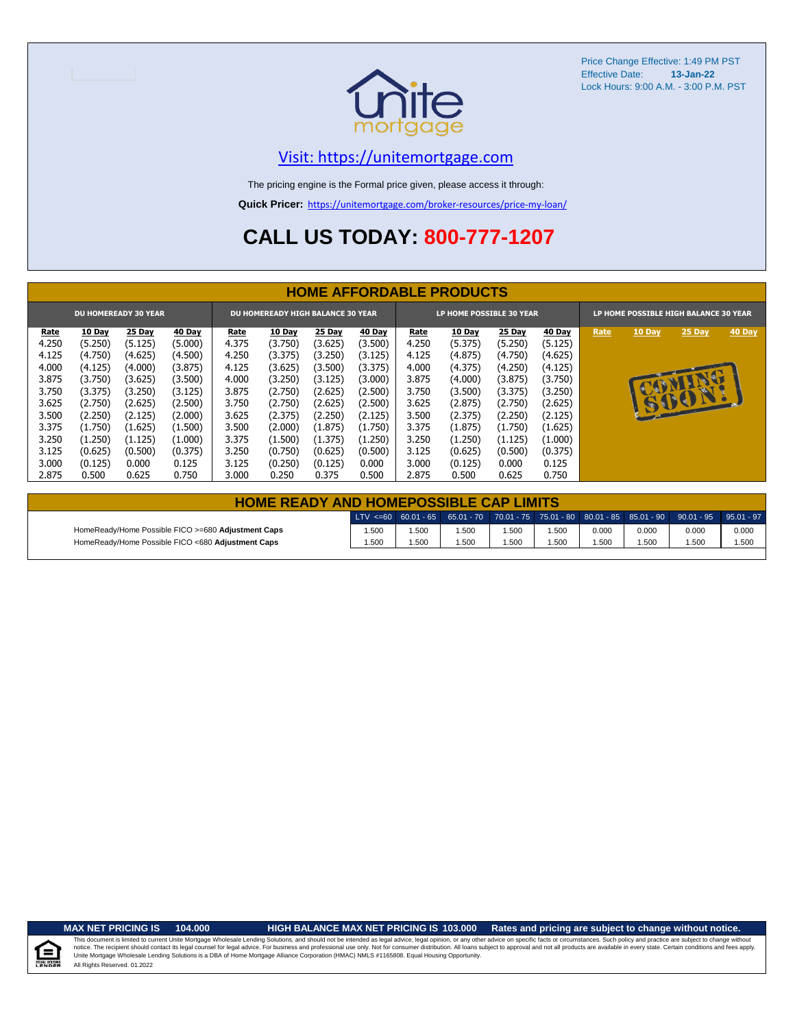

#### [V](https://unitemortgage.com/)isit: https://unitemortgage.com

The pricing engine is the Formal price given, please access it through:

**Quick Pricer:** [https://un](https://unitemortgage.com/broker-resources/price-my-loan/)itemortgage.com/broker-resources/price-my-loan/

### **CALL US TODAY: 800-777-1207**

|             | <b>HOME AFFORDABLE PRODUCTS</b> |                             |               |       |                                          |         |               |                          |         |               |               |                                       |               |          |        |
|-------------|---------------------------------|-----------------------------|---------------|-------|------------------------------------------|---------|---------------|--------------------------|---------|---------------|---------------|---------------------------------------|---------------|----------|--------|
|             |                                 | <b>DU HOMEREADY 30 YEAR</b> |               |       | <b>DU HOMEREADY HIGH BALANCE 30 YEAR</b> |         |               | LP HOME POSSIBLE 30 YEAR |         |               |               | LP HOME POSSIBLE HIGH BALANCE 30 YEAR |               |          |        |
| <u>Rate</u> | <b>10 Day</b>                   | 25 Day                      | <b>40 Day</b> | Rate  | <b>10 Day</b>                            | 25 Day  | <b>40 Day</b> | Rate                     | 10 Day  | <b>25 Day</b> | <b>40 Day</b> | Rate                                  | <b>10 Day</b> | $25$ Day | 40 Day |
| 4.250       | (5.250)                         | (5.125)                     | (5.000)       | 4.375 | (3.750)                                  | (3.625) | (3.500)       | 4.250                    | (5.375) | (5.250)       | (5.125)       |                                       |               |          |        |
| 4.125       | (4.750)                         | (4.625)                     | (4.500)       | 4.250 | (3.375)                                  | (3.250) | (3.125)       | 4.125                    | (4.875) | (4.750)       | (4.625)       |                                       |               |          |        |
| 4.000       | (4.125)                         | (4.000)                     | (3.875)       | 4.125 | (3.625)                                  | (3.500) | (3.375)       | 4.000                    | (4.375) | (4.250)       | (4.125)       |                                       |               |          |        |
| 3.875       | (3.750)                         | (3.625)                     | (3.500)       | 4.000 | (3.250)                                  | (3.125) | (3.000)       | 3.875                    | (4.000) | (3.875)       | (3.750)       |                                       |               | NU       |        |
| 3.750       | (3.375)                         | (3.250)                     | (3.125)       | 3.875 | (2.750)                                  | (2.625) | (2.500)       | 3.750                    | (3.500) | (3.375)       | (3.250)       |                                       | <b>AP</b>     |          |        |
| 3.625       | (2.750)                         | (2.625)                     | (2.500)       | 3.750 | (2.750)                                  | (2.625) | (2.500)       | 3.625                    | (2.875) | (2.750)       | (2.625)       |                                       |               | 15001.   |        |
| 3.500       | (2.250)                         | (2.125)                     | (2.000)       | 3.625 | (2.375)                                  | (2.250) | (2.125)       | 3.500                    | (2.375) | (2.250)       | (2.125)       |                                       |               |          |        |
| 3.375       | (1.750)                         | (1.625)                     | (1.500)       | 3.500 | (2.000)                                  | (1.875) | (1.750)       | 3.375                    | (1.875) | (1.750)       | (1.625)       |                                       |               |          |        |
| 3.250       | (1.250)                         | (1.125)                     | (1.000)       | 3.375 | (1.500)                                  | (1.375) | (1.250)       | 3.250                    | (1.250) | (1.125)       | (1.000)       |                                       |               |          |        |
| 3.125       | (0.625)                         | (0.500)                     | (0.375)       | 3.250 | (0.750)                                  | (0.625) | (0.500)       | 3.125                    | (0.625) | (0.500)       | (0.375)       |                                       |               |          |        |
| 3.000       | (0.125)                         | 0.000                       | 0.125         | 3.125 | (0.250)                                  | (0.125) | 0.000         | 3.000                    | (0.125) | 0.000         | 0.125         |                                       |               |          |        |
| 2.875       | 0.500                           | 0.625                       | 0.750         | 3.000 | 0.250                                    | 0.375   | 0.500         | 2.875                    | 0.500   | 0.625         | 0.750         |                                       |               |          |        |

| <b>HOME READY AND HOMEPOSSIBLE CAP LIMITS</b>      |       |      |      |      |      |       |       |                                                                                                  |       |  |  |
|----------------------------------------------------|-------|------|------|------|------|-------|-------|--------------------------------------------------------------------------------------------------|-------|--|--|
|                                                    |       |      |      |      |      |       |       | LTV <=60 60.01 - 65 65.01 - 70 70.01 - 75 75.01 - 80 80.01 - 85 85.01 - 90 90.01 - 95 95.01 - 97 |       |  |  |
| HomeReady/Home Possible FICO >=680 Adjustment Caps | .500  | .500 | .500 | .500 | .500 | 0.000 | 0.000 | 0.000                                                                                            | 0.000 |  |  |
| HomeReady/Home Possible FICO <680 Adjustment Caps  | 1.500 | .500 | .500 | .500 | .500 | .500  | 1.500 | .500                                                                                             | 1.500 |  |  |

.<br>N. Hou

**MAX NET PRICING IS 104.000 HIGH BALANCE MAX NET PRICING IS 103.000 Rates and pricing are subject to change without notice.**

All Rights Reserved. 01.2022 This document is limited to current Unite Mortgage Wholesale Lending Solutions, and should not be intended as legal advice, legal opinion, or any other advice on specific facts or circumstances. Such policy and practice ar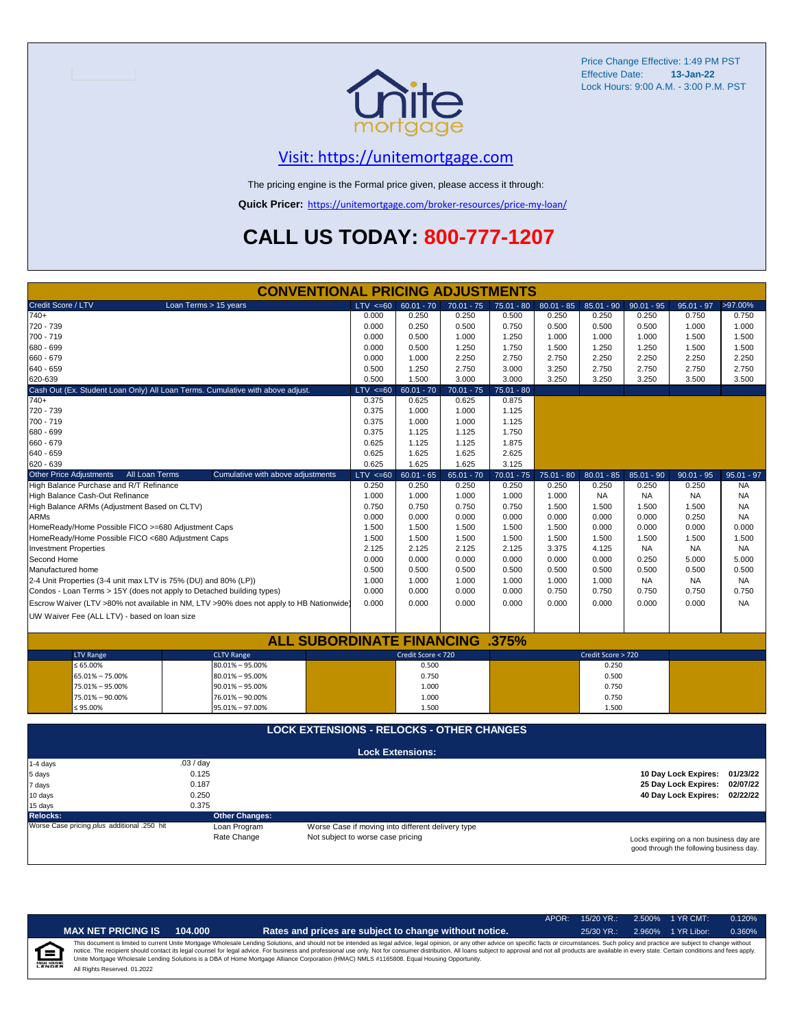

### [V](https://unitemortgage.com/)isit: https://unitemortgage.com

The pricing engine is the Formal price given, please access it through:

**Quick Pricer:** [https://un](https://unitemortgage.com/broker-resources/price-my-loan/)itemortgage.com/broker-resources/price-my-loan/

### **CALL US TODAY: 800-777-1207**

|                                                                                | <b>CONVENTIONAL PRICING ADJUSTMENTS</b>                                                |                                   |                                                   |              |              |              |                    |              |                                          |              |  |
|--------------------------------------------------------------------------------|----------------------------------------------------------------------------------------|-----------------------------------|---------------------------------------------------|--------------|--------------|--------------|--------------------|--------------|------------------------------------------|--------------|--|
| Credit Score / LTV                                                             | Loan Terms > 15 years                                                                  | $LTV \le 60$                      | $60.01 - 70$                                      | $70.01 - 75$ | $75.01 - 80$ | $80.01 - 85$ | $85.01 - 90$       | $90.01 - 95$ | $95.01 - 97$                             | >97.00%      |  |
| 740+                                                                           |                                                                                        | 0.000                             | 0.250                                             | 0.250        | 0.500        | 0.250        | 0.250              | 0.250        | 0.750                                    | 0.750        |  |
| 720 - 739                                                                      |                                                                                        | 0.000                             | 0.250                                             | 0.500        | 0.750        | 0.500        | 0.500              | 0.500        | 1.000                                    | 1.000        |  |
| 700 - 719                                                                      |                                                                                        | 0.000                             | 0.500                                             | 1.000        | 1.250        | 1.000        | 1.000              | 1.000        | 1.500                                    | 1.500        |  |
| 680 - 699                                                                      |                                                                                        | 0.000                             | 0.500                                             | 1.250        | 1.750        | 1.500        | 1.250              | 1.250        | 1.500                                    | 1.500        |  |
| 660 - 679                                                                      |                                                                                        | 0.000                             | 1.000                                             | 2.250        | 2.750        | 2.750        | 2.250              | 2.250        | 2.250                                    | 2.250        |  |
| 640 - 659                                                                      |                                                                                        | 0.500                             | 1.250                                             | 2.750        | 3.000        | 3.250        | 2.750              | 2.750        | 2.750                                    | 2.750        |  |
| 620-639                                                                        | 0.500                                                                                  | 1.500                             | 3.000                                             | 3.000        | 3.250        | 3.250        | 3.250              | 3.500        | 3.500                                    |              |  |
| Cash Out (Ex. Student Loan Only) All Loan Terms. Cumulative with above adjust. | $LTV \le 60$                                                                           | $60.01 - 70$                      | $70.01 - 75$                                      | $75.01 - 80$ |              |              |                    |              |                                          |              |  |
| 740+                                                                           |                                                                                        | 0.375                             | 0.625                                             | 0.625        | 0.875        |              |                    |              |                                          |              |  |
| 720 - 739                                                                      |                                                                                        | 0.375                             | 1.000                                             | 1.000        | 1.125        |              |                    |              |                                          |              |  |
| 700 - 719                                                                      |                                                                                        | 0.375                             | 1.000                                             | 1.000        | 1.125        |              |                    |              |                                          |              |  |
| 680 - 699                                                                      |                                                                                        | 0.375                             | 1.125                                             | 1.125        | 1.750        |              |                    |              |                                          |              |  |
| 660 - 679                                                                      |                                                                                        | 0.625                             | 1.125                                             | 1.125        | 1.875        |              |                    |              |                                          |              |  |
| 640 - 659                                                                      |                                                                                        | 0.625                             | 1.625                                             | 1.625        | 2.625        |              |                    |              |                                          |              |  |
| 620 - 639                                                                      |                                                                                        | 0.625                             | 1.625                                             | 1.625        | 3.125        |              |                    |              |                                          |              |  |
| <b>Other Price Adjustments</b><br>All Loan Terms                               | Cumulative with above adjustments                                                      | $LTV \le 60$                      | $60.01 - 65$                                      | $65.01 - 70$ | $70.01 - 75$ | $75.01 - 80$ | $80.01 - 85$       | $85.01 - 90$ | $90.01 - 95$                             | $95.01 - 97$ |  |
| High Balance Purchase and R/T Refinance                                        |                                                                                        | 0.250                             | 0.250                                             | 0.250        | 0.250        | 0.250        | 0.250              | 0.250        | 0.250                                    | <b>NA</b>    |  |
| High Balance Cash-Out Refinance                                                |                                                                                        | 1.000                             | 1.000                                             | 1.000        | 1.000        | 1.000        | <b>NA</b>          | <b>NA</b>    | <b>NA</b>                                | <b>NA</b>    |  |
| High Balance ARMs (Adjustment Based on CLTV)                                   |                                                                                        | 0.750                             | 0.750                                             | 0.750        | 0.750        | 1.500        | 1.500              | 1.500        | 1.500                                    | <b>NA</b>    |  |
| <b>ARMs</b>                                                                    |                                                                                        | 0.000                             | 0.000                                             | 0.000        | 0.000        | 0.000        | 0.000              | 0.000        | 0.250                                    | <b>NA</b>    |  |
| HomeReady/Home Possible FICO >=680 Adjustment Caps                             |                                                                                        | 1.500                             | 1.500                                             | 1.500        | 1.500        | 1.500        | 0.000              | 0.000        | 0.000                                    | 0.000        |  |
| HomeReady/Home Possible FICO <680 Adjustment Caps                              |                                                                                        | 1.500                             | 1.500                                             | 1.500        | 1.500        | 1.500        | 1.500              | 1.500        | 1.500                                    | 1.500        |  |
| <b>Investment Properties</b>                                                   |                                                                                        | 2.125                             | 2.125                                             | 2.125        | 2.125        | 3.375        | 4.125              | <b>NA</b>    | <b>NA</b>                                | <b>NA</b>    |  |
| Second Home                                                                    |                                                                                        | 0.000                             | 0.000                                             | 0.000        | 0.000        | 0.000        | 0.000              | 0.250        | 5.000                                    | 5.000        |  |
| Manufactured home                                                              |                                                                                        | 0.500                             | 0.500                                             | 0.500        | 0.500        | 0.500        | 0.500              | 0.500        | 0.500                                    | 0.500        |  |
| 2-4 Unit Properties (3-4 unit max LTV is 75% (DU) and 80% (LP))                |                                                                                        | 1.000                             | 1.000                                             | 1.000        | 1.000        | 1.000        | 1.000              | <b>NA</b>    | <b>NA</b>                                | <b>NA</b>    |  |
| Condos - Loan Terms > 15Y (does not apply to Detached building types)          |                                                                                        | 0.000                             | 0.000                                             | 0.000        | 0.000        | 0.750        | 0.750              | 0.750        | 0.750                                    | 0.750        |  |
|                                                                                | Escrow Waiver (LTV >80% not available in NM, LTV >90% does not apply to HB Nationwide) | 0.000                             | 0.000                                             | 0.000        | 0.000        | 0.000        | 0.000              | 0.000        | 0.000                                    | <b>NA</b>    |  |
| UW Waiver Fee (ALL LTV) - based on loan size                                   |                                                                                        |                                   |                                                   |              |              |              |                    |              |                                          |              |  |
|                                                                                |                                                                                        |                                   |                                                   |              |              |              |                    |              |                                          |              |  |
|                                                                                | <b>ALL SUBORDINATE FINANCING</b>                                                       |                                   |                                                   |              | .375%        |              |                    |              |                                          |              |  |
| <b>LTV Range</b>                                                               | <b>CLTV Range</b>                                                                      |                                   | Credit Score < 720                                |              |              |              | Credit Score > 720 |              |                                          |              |  |
| $\leq 65.00\%$                                                                 | $80.01\% - 95.00\%$                                                                    |                                   | 0.500                                             |              |              |              | 0.250              |              |                                          |              |  |
| 65.01% - 75.00%                                                                | $80.01\% - 95.00\%$                                                                    |                                   | 0.750                                             |              |              |              | 0.500              |              |                                          |              |  |
| 75.01% - 95.00%                                                                | $90.01\% - 95.00\%$                                                                    |                                   | 1.000                                             |              |              |              | 0.750              |              |                                          |              |  |
| 75.01% - 90.00%                                                                | 76.01% - 90.00%                                                                        |                                   | 1.000                                             |              |              |              | 0.750              |              |                                          |              |  |
| ≤ 95.00%                                                                       | 95.01% - 97.00%                                                                        |                                   | 1.500                                             |              |              |              | 1.500              |              |                                          |              |  |
|                                                                                |                                                                                        |                                   |                                                   |              |              |              |                    |              |                                          |              |  |
|                                                                                | <b>LOCK EXTENSIONS - RELOCKS - OTHER CHANGES</b>                                       |                                   |                                                   |              |              |              |                    |              |                                          |              |  |
|                                                                                |                                                                                        |                                   |                                                   |              |              |              |                    |              |                                          |              |  |
|                                                                                |                                                                                        |                                   | <b>Lock Extensions:</b>                           |              |              |              |                    |              |                                          |              |  |
| 1-4 days                                                                       | .03 / day                                                                              |                                   |                                                   |              |              |              |                    |              |                                          |              |  |
| 5 days                                                                         | 0.125                                                                                  |                                   |                                                   |              |              |              |                    |              | 10 Day Lock Expires:                     | 01/23/22     |  |
| 7 days                                                                         | 0.187                                                                                  |                                   |                                                   |              |              |              |                    |              | 25 Day Lock Expires:                     | 02/07/22     |  |
| 10 days                                                                        | 0.250                                                                                  |                                   |                                                   |              |              |              |                    |              | 40 Day Lock Expires: 02/22/22            |              |  |
| 15 days                                                                        |                                                                                        |                                   |                                                   |              |              |              |                    |              |                                          |              |  |
| <b>Relocks:</b>                                                                | <b>Other Changes:</b>                                                                  |                                   |                                                   |              |              |              |                    |              |                                          |              |  |
| Worse Case pricing plus additional .250 hit                                    | Loan Program                                                                           |                                   | Worse Case if moving into different delivery type |              |              |              |                    |              |                                          |              |  |
|                                                                                | Rate Change                                                                            | Not subject to worse case pricing |                                                   |              |              |              |                    |              | Locks expiring on a non business day are |              |  |

Locks expiring on a non business day are good through the following business day.

|                           |                              |         |                                                                                                                                                                                                                                                                                                                                                                                                                                                                                                                                                                                                                | APOR: | $15/20$ YR.: | 2.500% | 1 YR CMT:   | 0.120% |
|---------------------------|------------------------------|---------|----------------------------------------------------------------------------------------------------------------------------------------------------------------------------------------------------------------------------------------------------------------------------------------------------------------------------------------------------------------------------------------------------------------------------------------------------------------------------------------------------------------------------------------------------------------------------------------------------------------|-------|--------------|--------|-------------|--------|
|                           | <b>MAX NET PRICING IS</b>    | 104.000 | Rates and prices are subject to change without notice.                                                                                                                                                                                                                                                                                                                                                                                                                                                                                                                                                         |       | $25/30$ YR.: | 2.960% | 1 YR Libor: | 0.360% |
| 全<br><b>EQUAL HOUSING</b> | All Rights Reserved. 01.2022 |         | This document is limited to current Unite Mortgage Wholesale Lending Solutions, and should not be intended as legal advice, legal opinion, or any other advice on specific facts or circumstances. Such policy and practice ar<br>notice. The recipient should contact its legal counsel for legal advice. For business and professional use only. Not for consumer distribution. All loans subject to approval and not all products are available in every stat<br>Unite Mortgage Wholesale Lending Solutions is a DBA of Home Mortgage Alliance Corporation (HMAC) NMLS #1165808. Equal Housing Opportunity. |       |              |        |             |        |